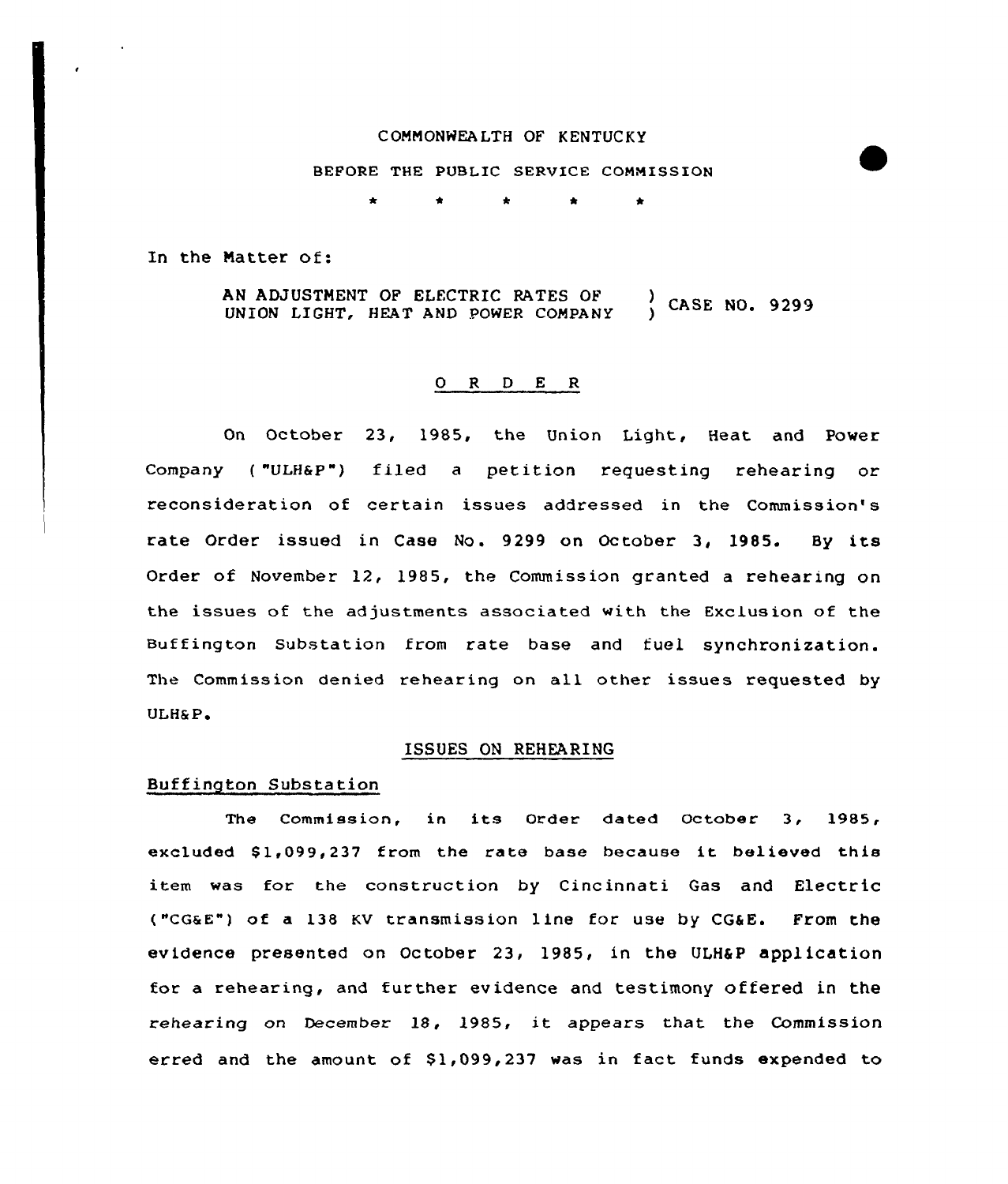# COMMONWEALTH OF KENTUCKY

## BEFORE THE PUBLIC SERVICE COMMISSION

\* \* \* \*

In the Natter of:

AN ADJUSTMENT OF ELECTRIC RATES OF (CASE NO. 9299)<br>UNION LIGHT, HEAT AND POWER COMPANY (CASE NO. 9299)

#### O R D E R

On October 23, 1985, the Union Light, Heat and Power Company ( "ULH&p") filed a petition requesting rehearing or reconsideration of certain issues addressed in the Commission' rate Order issued in Case No. 9299 on October 3, 1985. By its Order of November 12, 1985, the Commission granted a rehearing on the issues of the adjustments associated with the Exclusion of the Buffington substation from rate base and fuel synchronization. The Commission denied rehearing on all other issues requested by ULH&P.

#### ISSUES ON REHEARING

# Buffington Substation

The Commission, in its Order dated October 3, 1985, excluded \$1,099,237 from the rate base because it believed this item was for the construction by Cincinnati Gas and Electric ("cG&E") of a 138 Kv transmission line for use by CG&E. From the evidence presented on October 23, 1985, in the ULH&P application for a rehearing, and further evidence and testimony offered in the rehearing on December 18, 1985, it appears that the Commission erred and the amount of  $$1,099,237$  was in fact funds expended to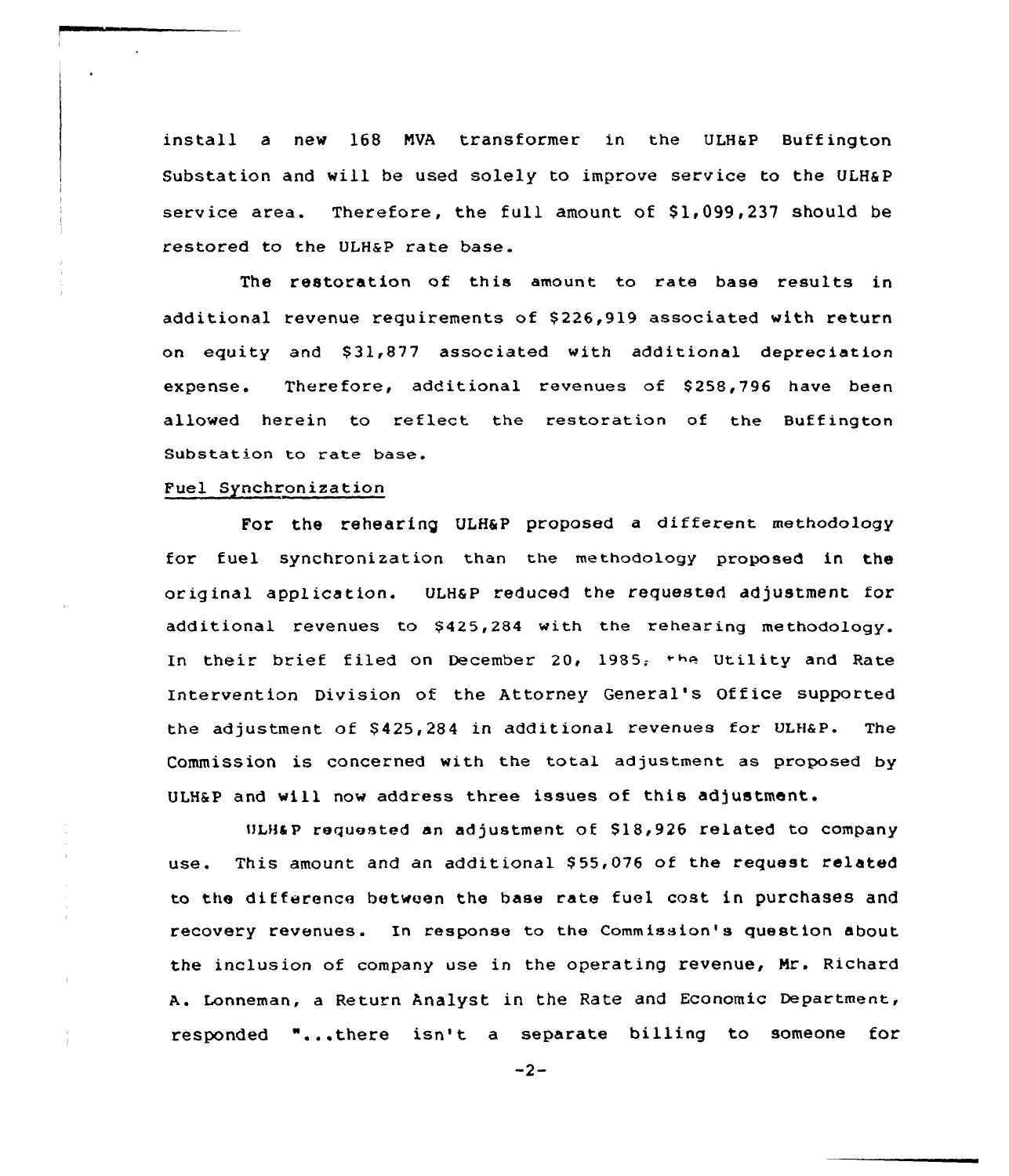install a new 168 MVA transformer in the ULH&P Buffington Substation and will be used solely to improve service to the ULH&P service area. Therefore, the full amount of  $$1,099,237$  should be restored to the ULHaP rate base.

The restoration of this amount to rate base results in additional revenue requirements of \$226,919 associated with return on equity and \$31,877 associated with additional depreciation expense. Therefore, additional revenues of \$258,796 have been allowed herein to reflect the restoration of the Buffington Substation to rate base.

# Fuel Synchronization

For the rehearing ULHSP proposed a different methodology for fuel synchronization than the methodology proposed in the original application. ULHaP reduced the requested adjustment for additional revenues to \$425,284 with the rehearing methodology. In their brief filed on December 20, 1985, the Utility and Rate Intervention Division of the Attorney General's Office supported the adjustment of \$ 425,284 in additional revenues for ULHaP. The Commission is concerned with the total adjustment as proposed by ULH&P and will now address three issues of this adjustment.

ULH&P requested an adjustment of  $$18,926$  related to company use. This amount and an additional \$55,076 of the request related to the difference between the base rate fuel cost in purchases and recovery revenues. In response to the Commission' question about the inclusion of company use in the operating revenue, Nr. Richard A. Lonneman, a Return Analyst in the Rate and Economic Department, responded "...there isn't a separate billing to someone for

 $-2-$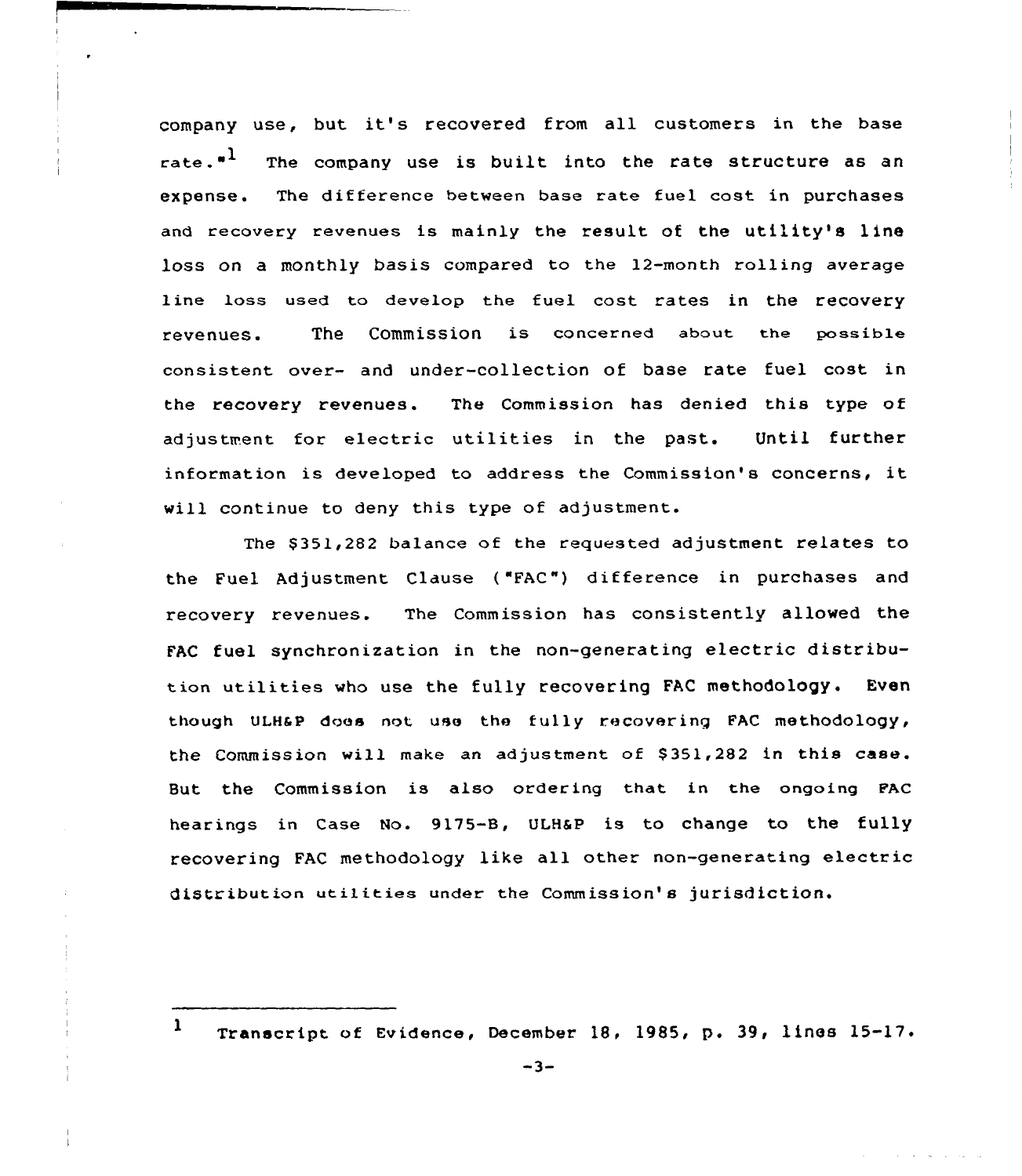company use, but it's recovered from all customers in the base rate. $1$  The company use is built into the rate structure as an expense. The difference between base rate fuel cost in purchases and recovery revenues is mainly the result of the utility's line loss on a monthly basis compared to the 12-month rolling average line loss used to develop the fuel cost rates in the recovery revenues. The Commission is concerned about the possible consistent over- and under-collection of base rate fuel cost in the recovery revenues. The Commission has denied this type of adjustment for electric utilities in the past. Until further information is developed to address the Commission's concerns, it will continue to deny this type of adjustment.

The \$ 351,282 balance of the requested adjustment relates to the Fuel Adjustment Clause ( "FAC") difference in purchases and recovery revenues. The Commission has consistently allawed the FAC fuel synchronization in the non-generating electric distribution utilities who use the tully recovering FAC methodology. Even though ULH&P does not use the fully recovering FAC methodology, the Commission will make an adjustment of \$351,282 in this case. But the Commission is also ardering that in the ongoing PAc hearings in Case No. 9175-B, ULH&P is to change to the fully recovering FAC methodology like all other non-generating electric distribution utilities under the Commission's jurisdiction.

<sup>1</sup> Transcript of Evidence, December 18, 1985, p. 39, lines  $15-17$ .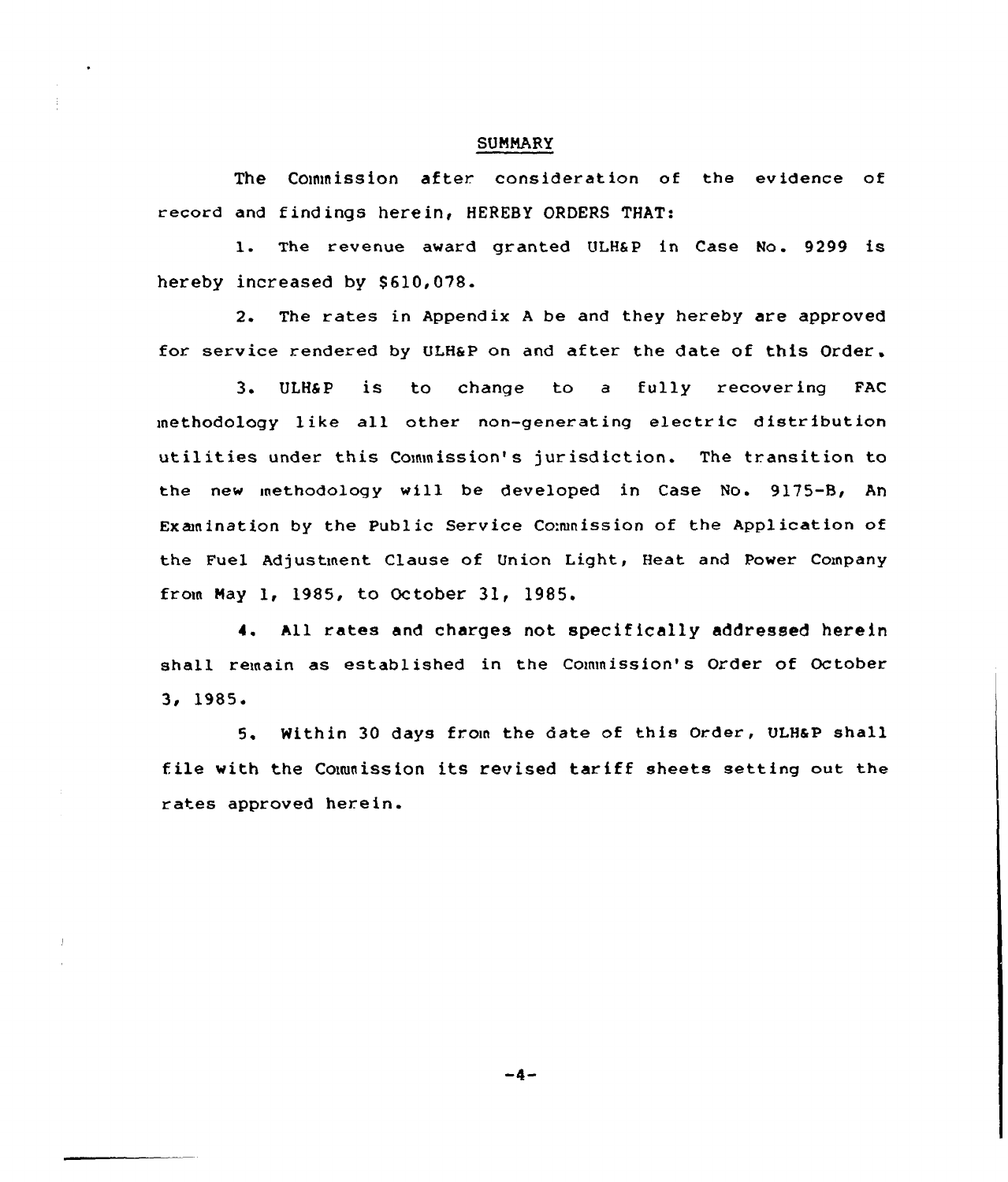### SUMMARY

The Commission after consideration of the evidence of record and findings herein, HEREBY ORDERS THAT:

l. The revenue award granted ULHSP in Case No. <sup>9299</sup> is hereby increased by \$610,078.

2. The rates in Appendix <sup>A</sup> be and they hereby are approved for service rendered by ULH&P on and after the date of this Order.

3. ULHSP is to change to <sup>a</sup> fully recovering FAC methodology like all other non-generating electric distribution utilities under this Commission's jurisdiction. The transition to the new methodology will be developed in Case No. 9175-B, An Examination by the Public Service Co:mnission of the Application of the Fuel Adjustment Clause of Union Light, Heat and Power Company from May 1, 1985, to October 31, 1985.

4. All rates and charges not specifically addressed herein shall remain as established in the Commission's Order of October 3i 1985 <sup>~</sup>

5. Within 30 days from the date of this Order, ULHaP shall file with the Couunission its revised tariff sheets setting out the rates approved herein.

 $-4-$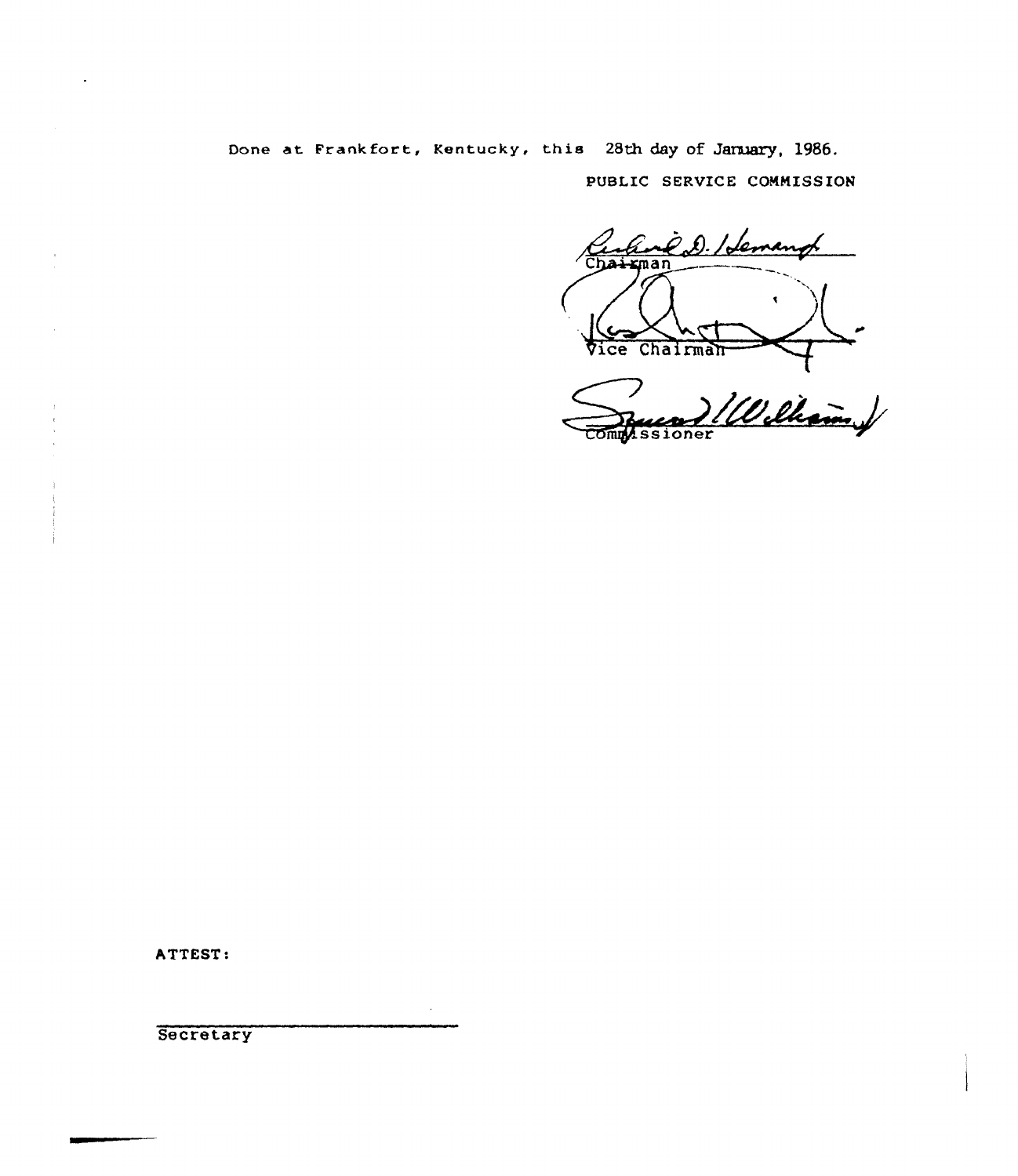Oone at Frankfort, Kentucky, this 28th day of January, 1986. PUBLIC SERVICE CONNISSION

Eve D. Hemang ≮ma:  $\bullet$ Vice Chairman

Commussioner an +

ATTEST:

**Secretary**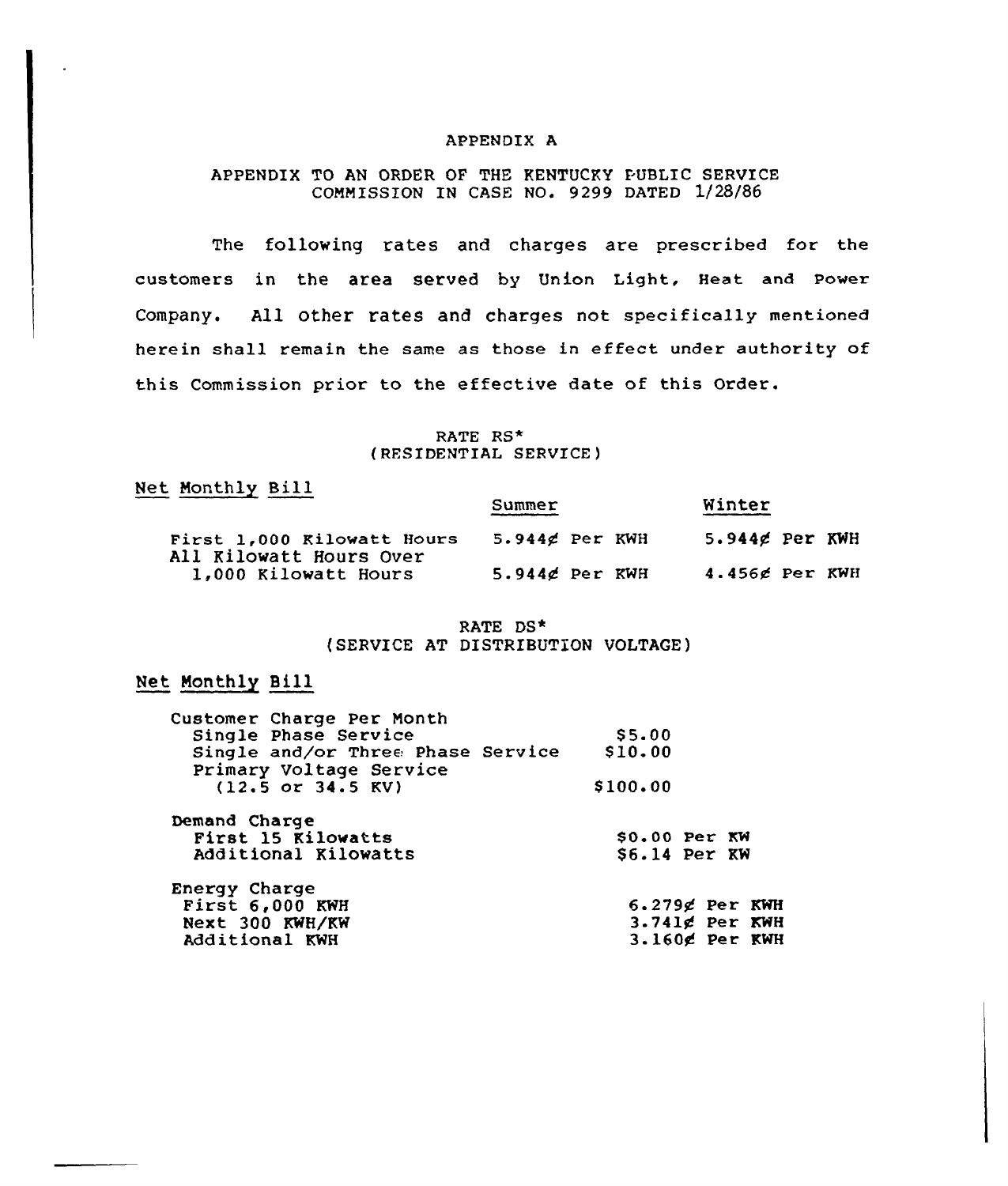# APPENDIX A

# APPENDIX TO AN ORDER OF THE KENTUCKY PUBLIC SERVICE COMMISSION IN CASE NO. 9299 DATED 1/28/86

The following rates and charges are prescribed for the customers in the area served by Union Light, Heat and Power Company. All other rates and charges not specifically mentioned herein shall remain the same as those in effect under authority of this Commission prior to the effective date of this Order.

### RATE RS\* (RESIDENTIAL SERVICE)

# Net Monthly Bill

|                                                       | Summer           | Winter              |
|-------------------------------------------------------|------------------|---------------------|
| First 1,000 Kilowatt Hours<br>All Kilowatt Hours Over | $5.944d$ Per KWH | $5.944g$ Per KWH    |
| 1,000 Kilowatt Hours                                  | $5.944d$ Per KWH | $4.456$ $e$ Per KWH |

# RATE DS\* (SERVICE AT DISTRIBUTION VOLTAGE)

# Net Monthly Bill

| \$5.00                                       |
|----------------------------------------------|
| \$10.00<br>Single and/or Three Phase Service |
| \$100.00                                     |
|                                              |
| $$0.00$ Per KW                               |
| $$6.14$ Per KW                               |
|                                              |
| $6.279$ g Per KWH                            |
| $3.741$ $g$ Per KWH                          |
| $3.160$ g Per KWH                            |
|                                              |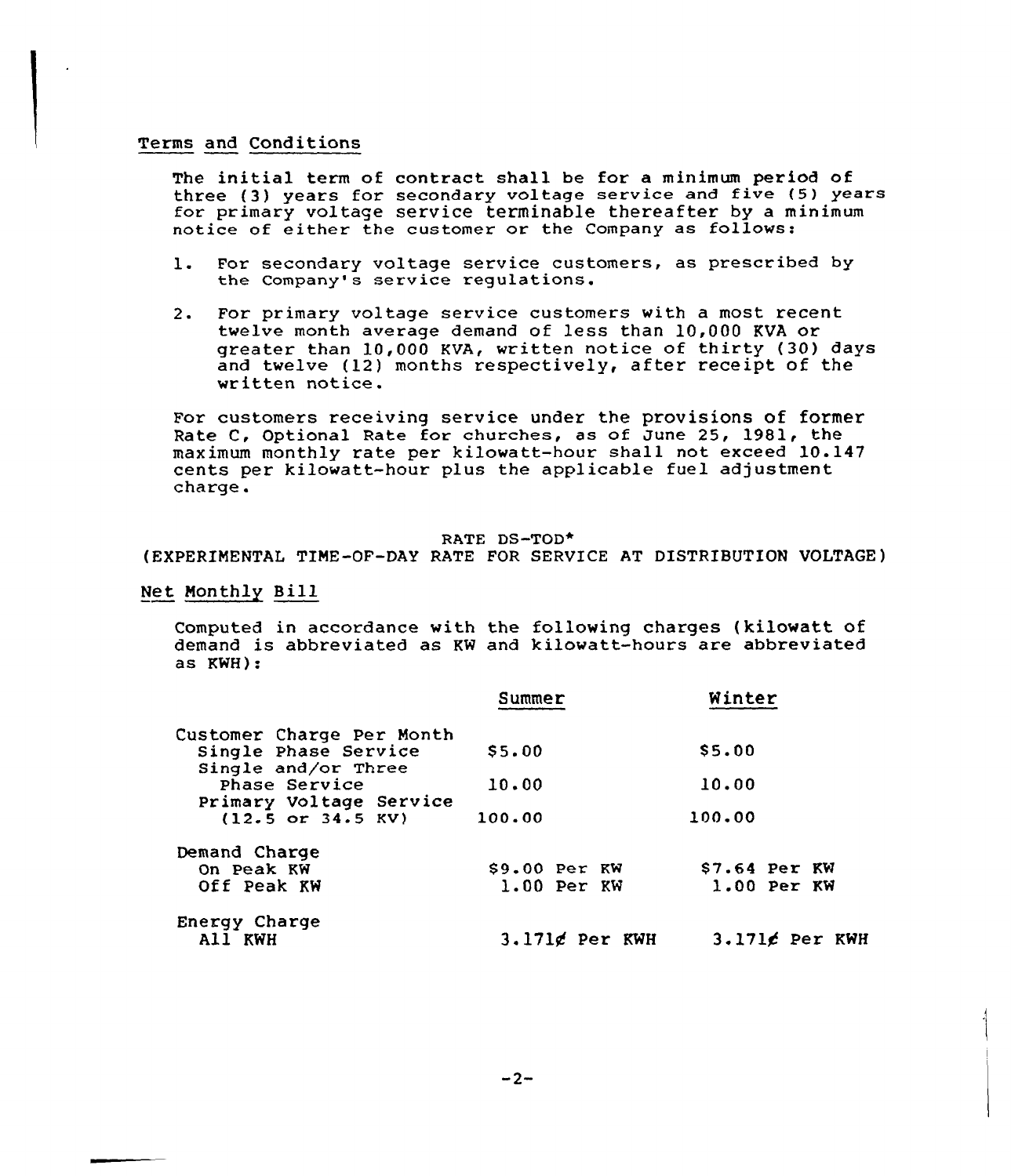# Terms and Conditions

The initial term of contract shall be for a minimum period of three (3) years for secondary voltage service and five (5) years for primary voltage service terminable thereafter by a minimum notice of either the customer or the Company as follows:

- l. For secondary voltage service customers, as prescribed by the Company's service regulations.
- 2. For primary voltage service customers with a most recent twelve month average demand of less than 10,000 KVA or greater than 10,000 KVA, written notice of thirty (30) days and twelve (12) months respectively, after receipt of the written notice.

For customers receiving service under the provisions of former<br>Rate C, Optional Rate for churches, as of June 25, 1981, the maximum monthly rate per kilowatt-hour shall not exceed 10.147 cents per kilowatt-hour plus the applicable fuel adjustment charge.

# RATE DS-TOD\*

(EXPERIMENTAL TIME-OF-DAY RATE FOR SERVICE AT DISTRIBUTION VOLTAGE)

Net Monthly Bill

Computed in accordance with the following charges (kilowatt of demand is abbreviated as KW and kilowatt-hours are abbreviated as KWH):

|                                                                 | Summer                          | Winter                          |  |
|-----------------------------------------------------------------|---------------------------------|---------------------------------|--|
| Customer Charge Per Month<br>Single Phase Service               | \$5.00                          | \$5.00                          |  |
| Single and/or Three<br>Phase Service<br>Primary Voltage Service | 10.00                           | 10.00                           |  |
| $(12.5$ or $34.5$ KV)                                           | 100.00                          | 100.00                          |  |
| Demand Charge<br>On Peak KW<br>Off Peak KW                      | $$9.00$ Per KW<br>$1.00$ Per KW | $$7.64$ Per KW<br>$1.00$ Per KW |  |
| Energy Charge<br>All KWH                                        | $3.171g$ Per KWH                | $3.1716$ Per KWH                |  |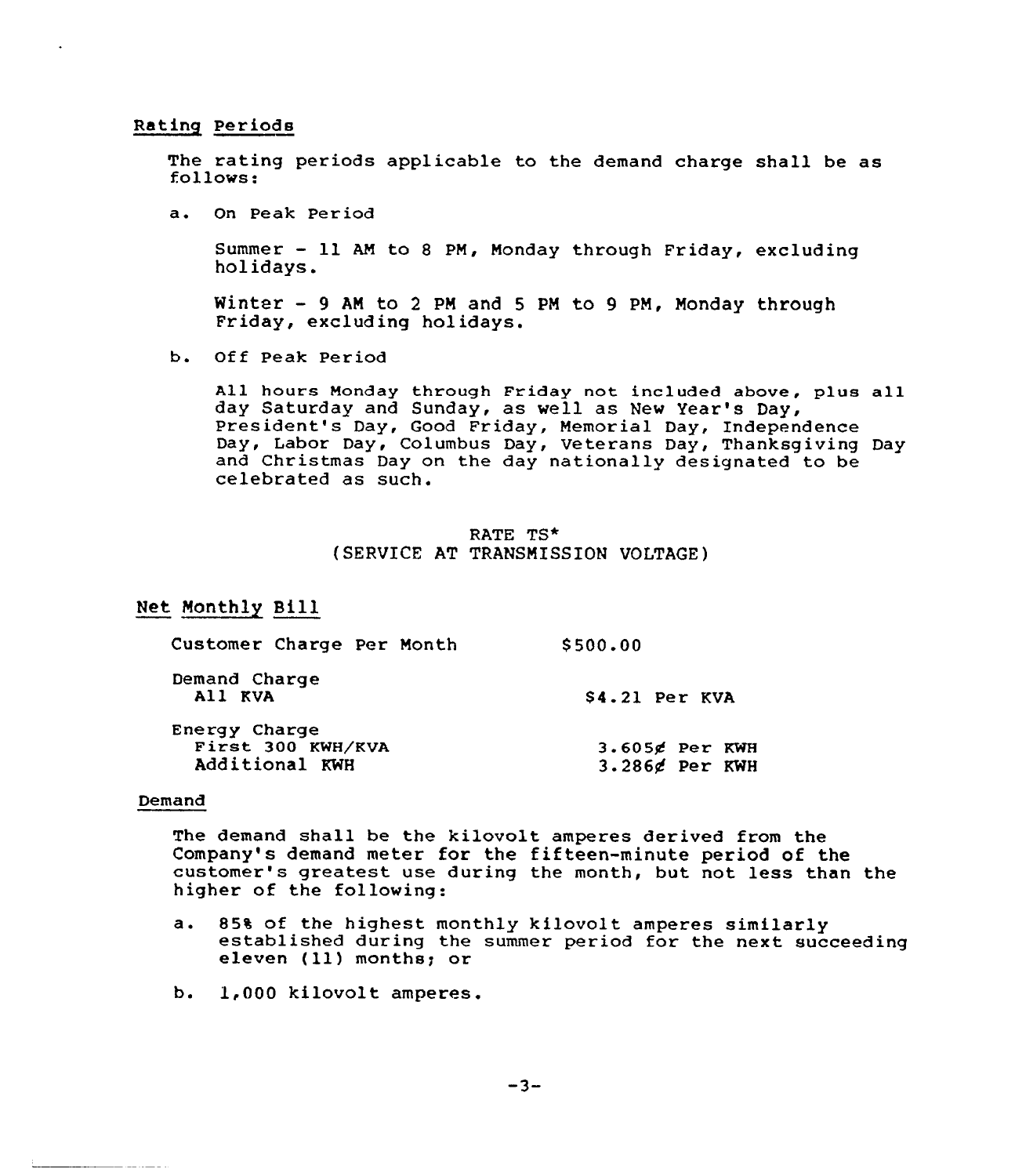Rating Periods

The rating periods applicable to the demand charge shall be as follows:

a. On Peak Per iod

Summer — ll AM to <sup>8</sup> PM, Nonday through Friday, excluding holidays.

Winter — 9 AN to <sup>2</sup> PM and <sup>5</sup> PM to 9 PM, Nonday through Friday, excluding holidays.

b. Off Peak Period

All hours Monday through Friday not included abave, p1us all day Saturday and Sunday, as well as New Year's Day, President's Day, Good Friday, Memorial Day, Independence Day, Labor Day, Columbus Day, Veterans Day, Thanksgiving Day and Christmas Day on the day nationally designated to be celebrated as such.

# RATE TS\* (SERVICE AT TRANSNlSSION VOLTAGE)

# Net Monthly Bill

| Customer Charge Per Month                            | \$500.00                            |
|------------------------------------------------------|-------------------------------------|
| Demand Charge<br>All KVA                             | \$4.21 Per KVA                      |
| Energy Charge<br>First 300 KWH/KVA<br>Additional KWH | $3.605$ g Per KWH<br>3.286¢ Per KWH |

#### Demand

The demand shall be the kilovolt amperes derived from the Company's demand meter for the fifteen-minute period of the customer's greatest use during the month, but not less than the higher of the following:

- a. 85% of the highest monthly kilovolt amperes similarly established during the summer period for the next succeeding eleven (11) months; or
- b. 1,000 kilovolt amperes.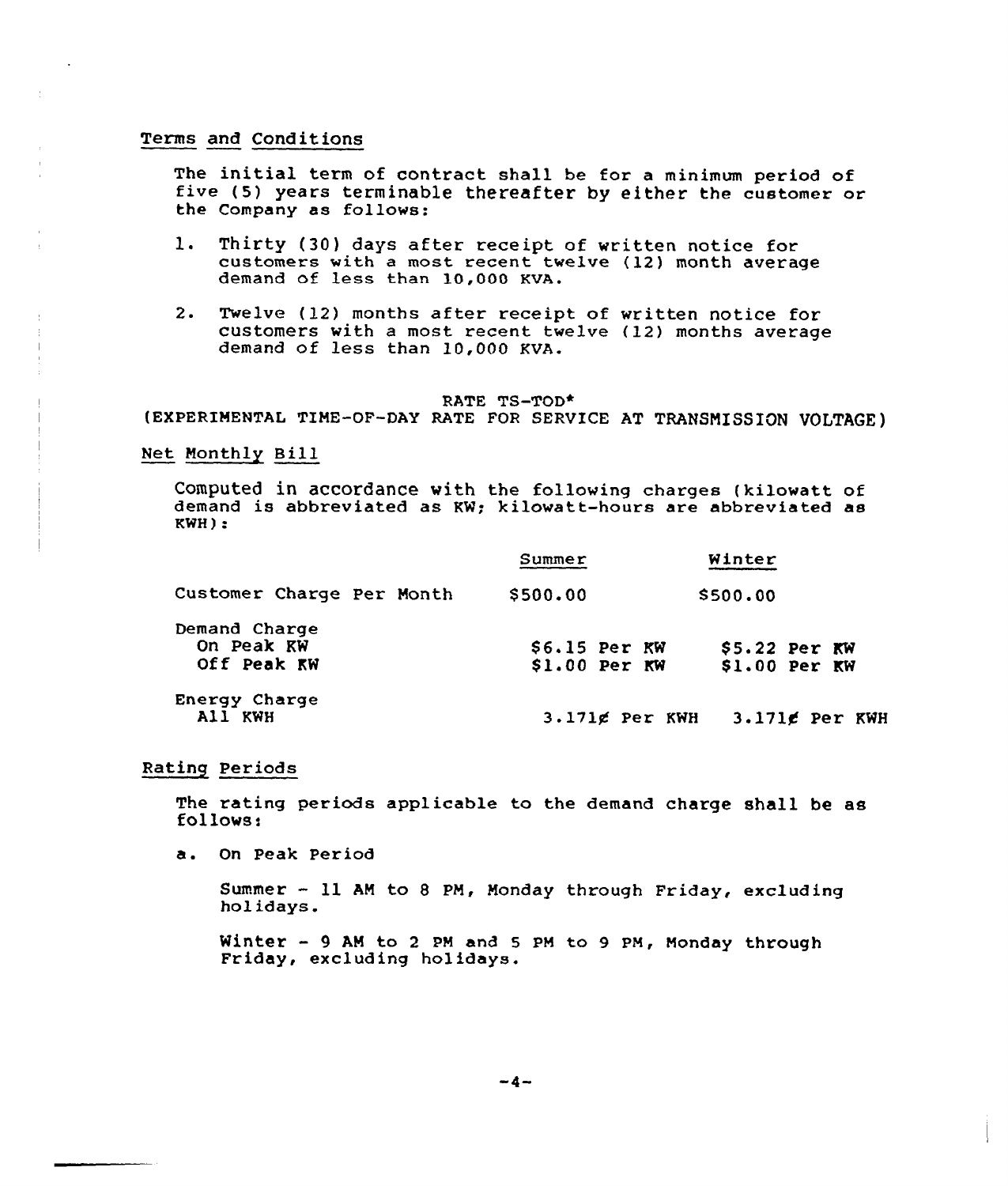# Terms and Conditions

The initial term of contract shall be for a minimum period of<br>five (5) years terminable thereafter by either the customer or the Company as follows:

- l. Thirty (30) days after receipt of written notice for customers with a most recent twelve (12) month average demand of less than 10,000 KVA.
- 2. Twelve (12) months after receipt of written notice for customers with a most recent twelve {12) months average demand of less than 10,000 KVA.

#### RATE TS-TOD\*

(EXPERIMENTAL TINE-OF-DAY RATE FOR SERVICE AT TRANSNISSION UOLTAGE)

# Net Nonthly Bill

Computed in accordance with the following charges (kilowatt of demand is abbreviated as KW; kilowatt-hours are abbreviated as KWH):

|                                            | Summer                           | Winter                          |
|--------------------------------------------|----------------------------------|---------------------------------|
| Customer Charge Per Month                  | \$500.00                         | \$500.00                        |
| Demand Charge<br>On Peak KW<br>Off Peak KW | $S6.15$ Per KW<br>$$1.00$ Per KW | $$5.22$ Per KW<br>\$1.00 Per KW |
| Energy Charge<br>All KWH                   | $3.171$ g Per KWH                | 3.171g Per KWH                  |

### Rating Periods

The rating periods applicable to the demand charge shall be as follows:

a. On Peak Period

Summer - ll AM to <sup>8</sup> PN, Nonday through Friday, excluding holidays.

Winter - <sup>9</sup> AM to <sup>2</sup> pM and <sup>5</sup> pM to <sup>9</sup> pM, Monday through Friday, excluding holidays.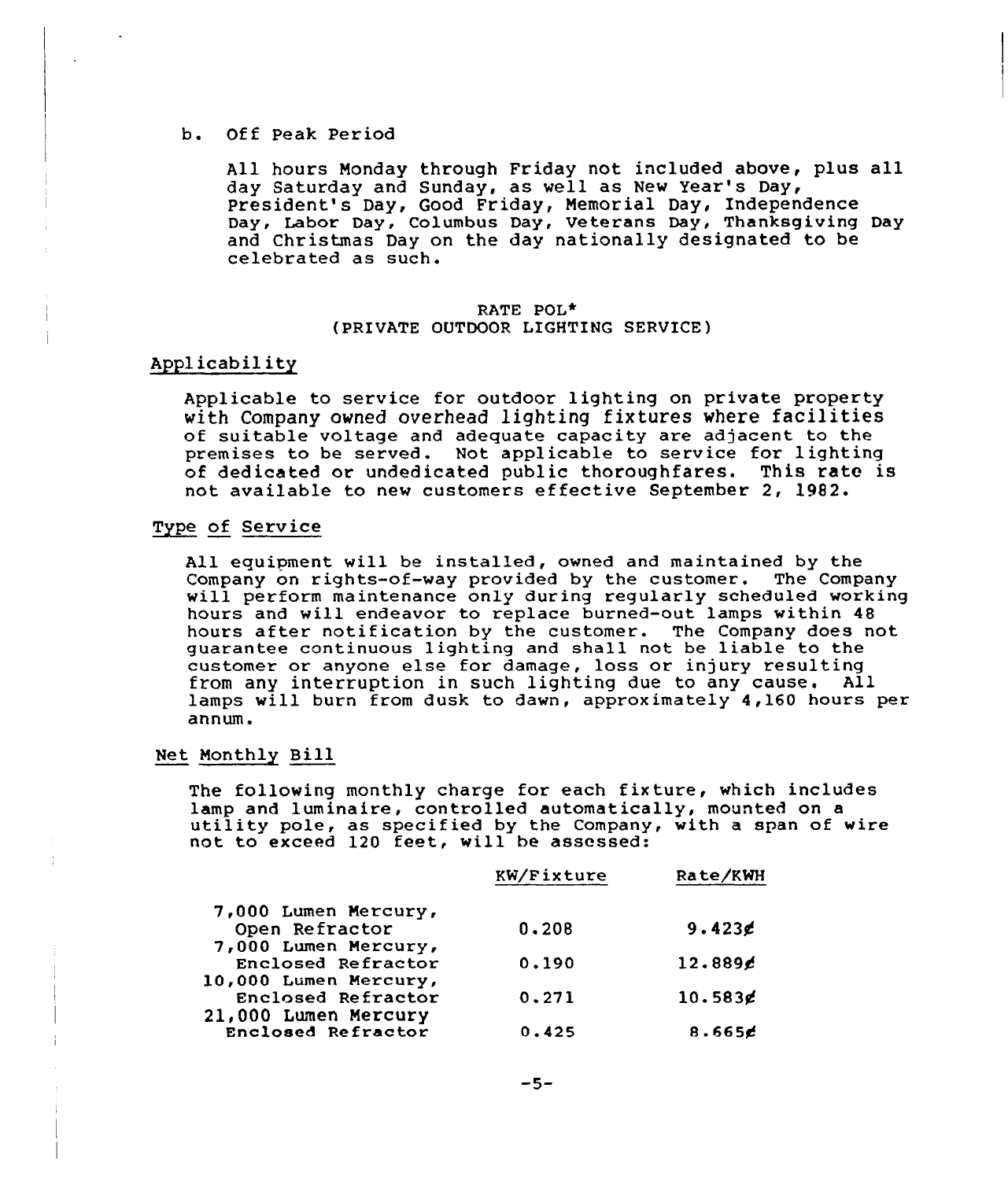# b. Off Peak Period

All hours Monday through Friday not included above, plus all day Saturday and Sunday, as well as Nev Year's Day, President's Day, Good Friday, Memorial Day, Independence Day, Labor Day, Columbus Day, Veterans Day, Thanksgiving Day and Christmas Day on the day nationally designated to be celebrated as such.

# RATE POL+ (PRIVATE OUTDOOR LIGHTING SERVICE)

# Applicability

Applicable to service for outdoor lighting on private property vith Company owned overhead lighting fixtures where facilities of suitable voltage and adequate capacity are adjacent to the premises to be served. Not applicable to service for lighting of dedicated or undedicated public thoroughfares. This rate is not available to new customers effective September 2, 1982.

# Type of Service

All equipment will be installed, owned and maintained by the<br>Company on rights-of-way provided by the customer. The Company will perform maintenance only during regularly scheduled working hours and will endeavor to replace burned-out lamps within 48 hours after notification by the customer. The Company does not guarantee continuous lighting and shall not be liable to the customer or anyone else for damage, loss or injury resulting from any interruption in such lighting due to any cause. All lamps will burn from dusk to dawn, approximately 4,160 hours per annum.

# Net Monthly Bill

The following monthly charge for each fixture, which includes lamp and luminaire, controlled automatically, mounted on a idity pole, as specified by the Company, with a span of wire not to exceed 120 feet, will be assessed

|                       | KW/Fixture | Rate/KWH  |
|-----------------------|------------|-----------|
| 7,000 Lumen Mercury,  |            |           |
| Open Refractor        | 0.208      | $9.423$ g |
| 7,000 Lumen Mercury,  |            |           |
| Enclosed Refractor    | 0.190      | 12.8896   |
| 10,000 Lumen Mercury, |            |           |
| Enclosed Refractor    | 0.271      | 10.583g   |
| 21,000 Lumen Mercury  |            |           |
| Enclosed Refractor    | 0.425      | 8.665c    |
|                       |            |           |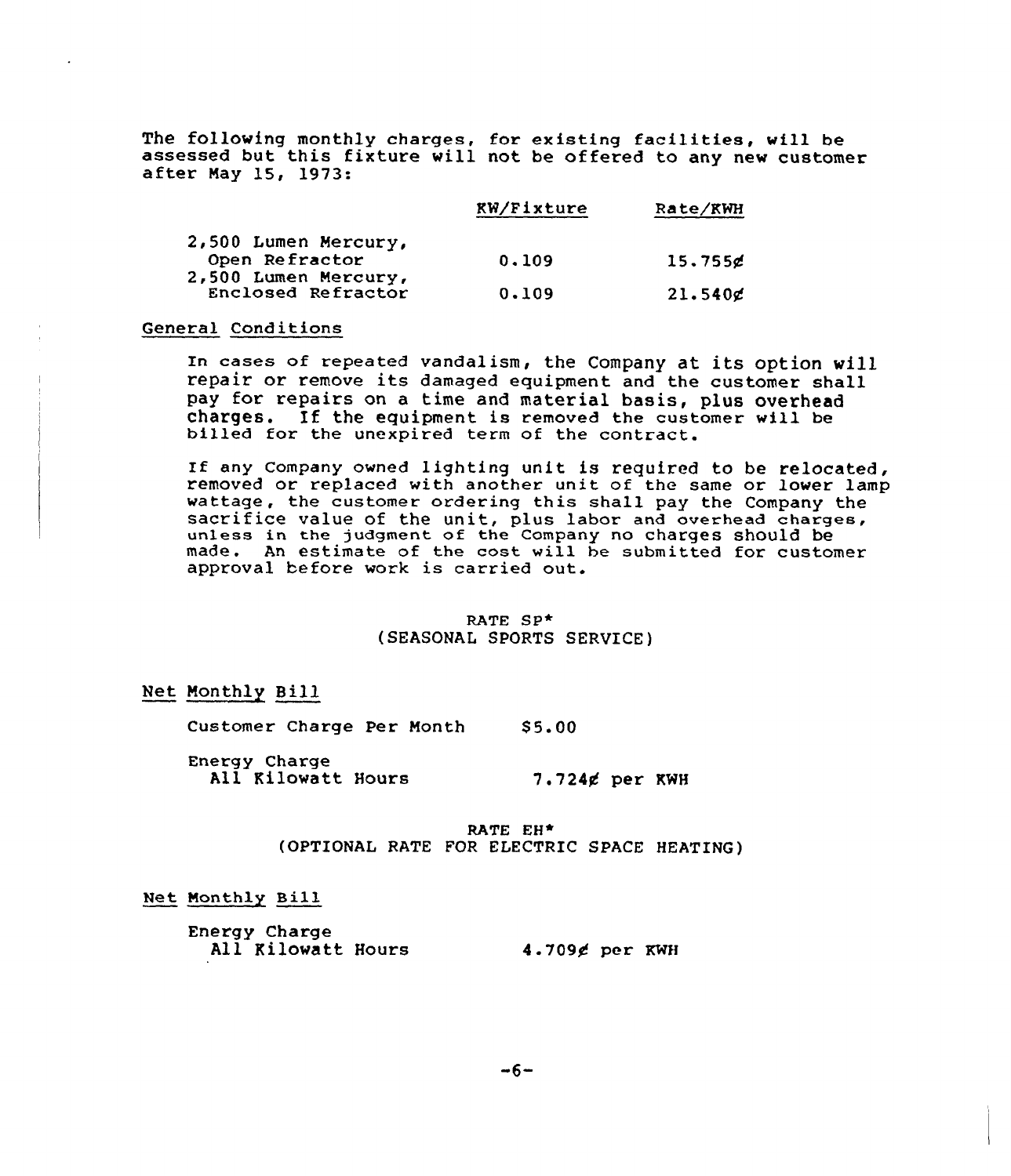The following monthly charges, for existing facilities, will be assessed but this fixture will not be offered to any new customer after May 15, 1973:

|                                            | <b>RW/Fixture</b> | Rate/KWH |
|--------------------------------------------|-------------------|----------|
| 2,500 Lumen Mercury,                       |                   |          |
| Open Refractor                             | 0.109             | 15.755g  |
| 2,500 Lumen Mercury,<br>Enclosed Refractor | 0.109             | 21.540g  |

# General Conditions

In cases of repeated vandalism, the Company at its option will repair or remove its damaged equipment and the customer shall pay for repairs on a time and material basis, plus overhead charges. If the equipment is removed the customer will be billed for the unexpired term of the contract.

If any Company owned lighting unit is required to be relocated, removed or replaced with another unit of the same or lower lamp wattage, the customer ordering this shall pay the Company the sacrifice value of the unit, plus labor and overhead charges, unless in the judgment af the Company no charges should be made. An estimate of the cost will be submitted for customer approval before work is carried out.

### RATE SP\* (SEASONAL SPORTS SERUICE)

# Net Monthly Bill

Customer Charge Per Month \$5.00

Energy Charge All Kilowatt Hours  $7.724$ g per KWH

> RATE EH\* (OPTIONAL RATE FOR ELECTRIC SPACE HEATING)

# Net Monthly Bill

Energy Charge All Kilowatt Hours 4.709¢ per KWH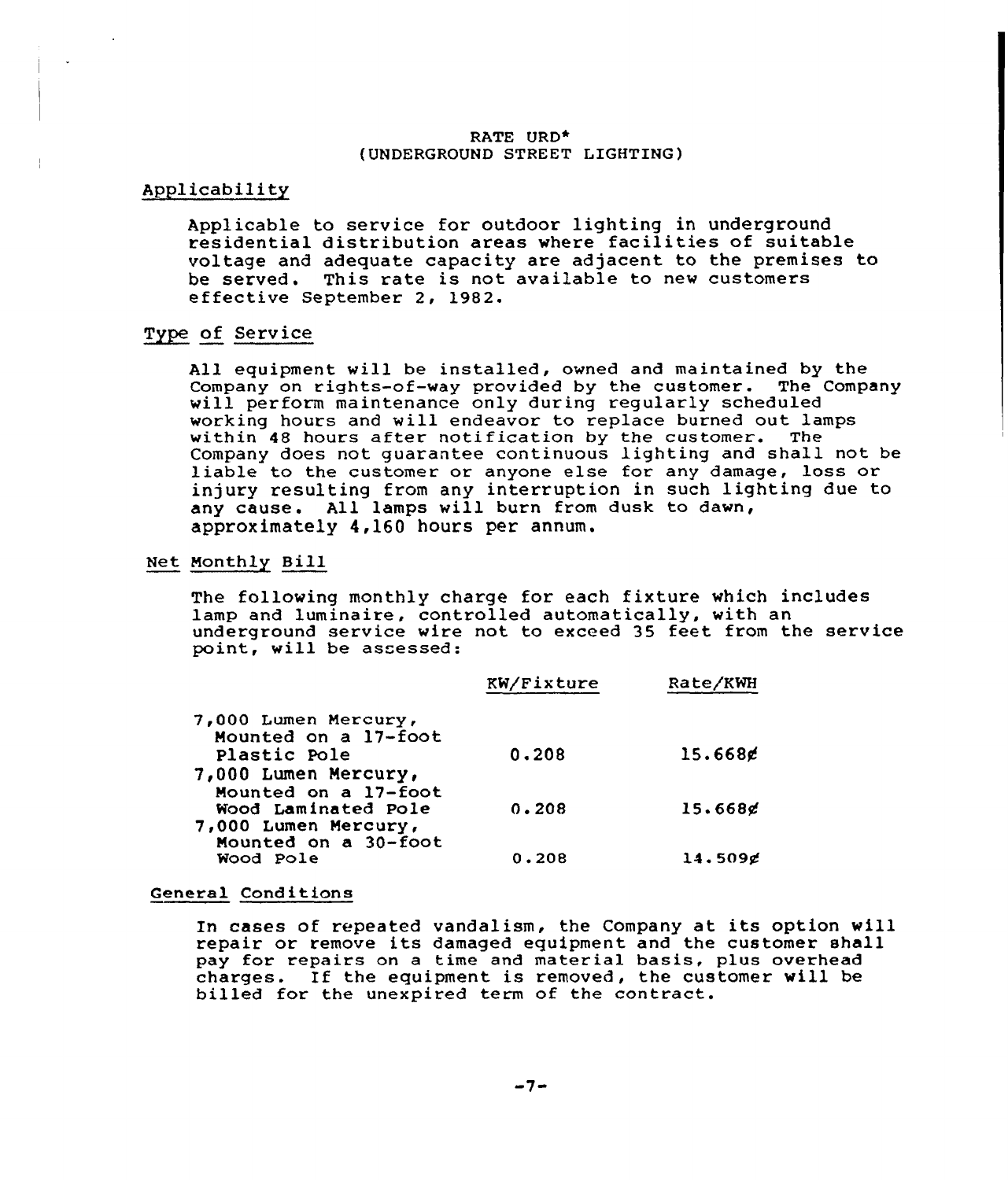### RATE URD\* (UNDERGROUND STREET LIGHTING)

# Applicability

Applicable to service for outdoor lighting in underground residential distribution areas where facilities of suitable voltage and adequate capacity are adjacent to the premises to be served. This rate is not available to new customers effective September 2, 1982.

# Type of Service

All equipment will be installed, owned and maintained by the Company on rights-of-way provided by the customer. The Company will perform maintenance only during regularly scheduled working hours and will endeavor to replace burned out lamps within 48 hours after notification by the customer. The Company does not guarantee continuous lighting and shall not be liable to the customer or anyone else for any damage, loss or injury resulting from any interruption in such lighting due to any cause. All lamps will burn from dusk to dawn, approximately 4,160 hours per annum.

# Net Monthly Bill

The following monthly charge for each fixture which includes lamp and luminaire, controlled automatically, with an underground service vire not to exceed 35 feet from the service point, will be assessed:

|                      | KW/Fixture | Rate/KWH |  |
|----------------------|------------|----------|--|
| 7,000 Lumen Mercury, |            |          |  |
| Mounted on a 17-foot |            |          |  |
| Plastic Pole         | 0.208      | 15.668g  |  |
| 7,000 Lumen Mercury, |            |          |  |
| Mounted on a 17-foot |            |          |  |
| Wood Laminated Pole  | 0.208      | 15.668g  |  |
| 7,000 Lumen Mercury, |            |          |  |
| Mounted on a 30-foot |            |          |  |
| Wood Pole            | 0.208      | 14.509g  |  |
|                      |            |          |  |

#### General Conditions

In cases of repeated vandalism, the Company at its option will repair or remove its damaged equipment and the customer shall pay for repairs on <sup>a</sup> time and material basis, plus overhead charges. If the equipment is removed, the customer will be billed for the unexpired term of the contract.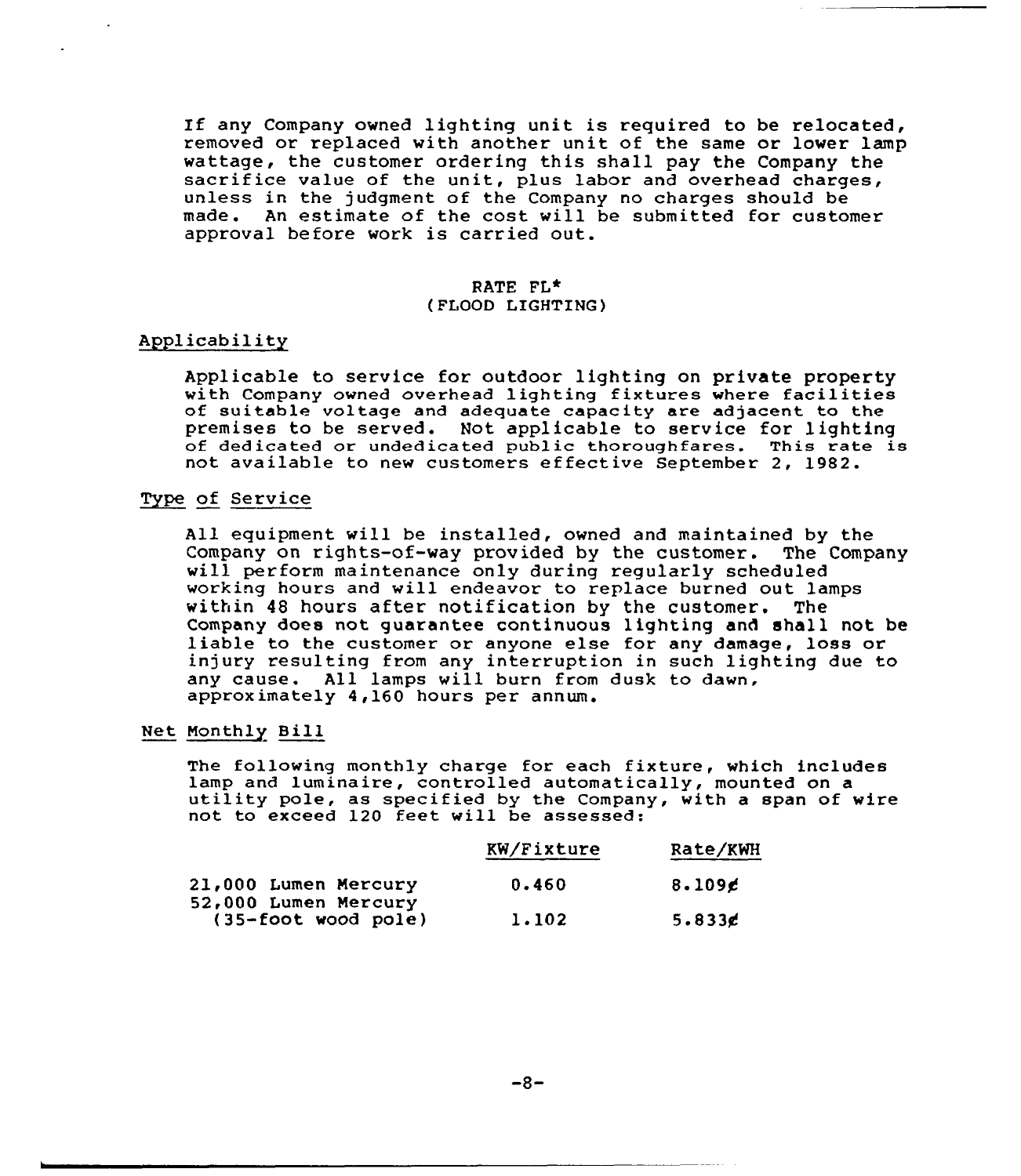If any Company owned lighting unit is required to be relocated, removed or replaced with another unit of the same or lower lamp<br>wattage, the customer ordering this shall pay the Company the sacrifice value of the unit, plus labor and overhead charges, unless in the judgment of the Company no charges should be made. An estimate of the cost vill be submitted for customer approval before work is carried out.

### RATE FL\* (FLOOD LIGHTING)

# Applicabilit~

Applicable to service for outdoor lighting on private property with Company owned overhead lighting fixtures where facilities<br>of suitable voltage and adequate capacity are adjacent to the<br>premises to be served. Not applicable to service for lighting of dedicated or undedicated public thoroughfares. This rate is not available to new customers effective September 2, 1982.

# Type of Service

All equipment will be installed, ovned and maintained by the Company on rights-of-way provided by the customer. The Company will perform maintenance only during regularly scheduled working hours and will endeavor to replace burned out lamps<br>within 48 hours after notification by the customer. The within 48 hours after notification by the customer. Company does not guarantee continuous lighting and shall not be liable to the customer or anyone else for any damage, loss or injury resulting from any interruption in such lighting due to any cause. All lamps vill burn from dusk to dawn, approximately 4,160 hours per annum.

# Net Monthly Bill

The following monthly charge for each fixture, which includes lamp and luminaire, controlled automatically, mounted on a utility pole, as specified by the Company, with a span of wire not to exceed 120 feet will be assessed:

|                                             | KW/Fixture | Rate/KWH  |
|---------------------------------------------|------------|-----------|
| <b>21,000 Lumen Mercury</b>                 | 0.460      | 8.109c    |
| 52,000 Lumen Mercury<br>(35-foot wood pole) | 1.102      | 5.833 $e$ |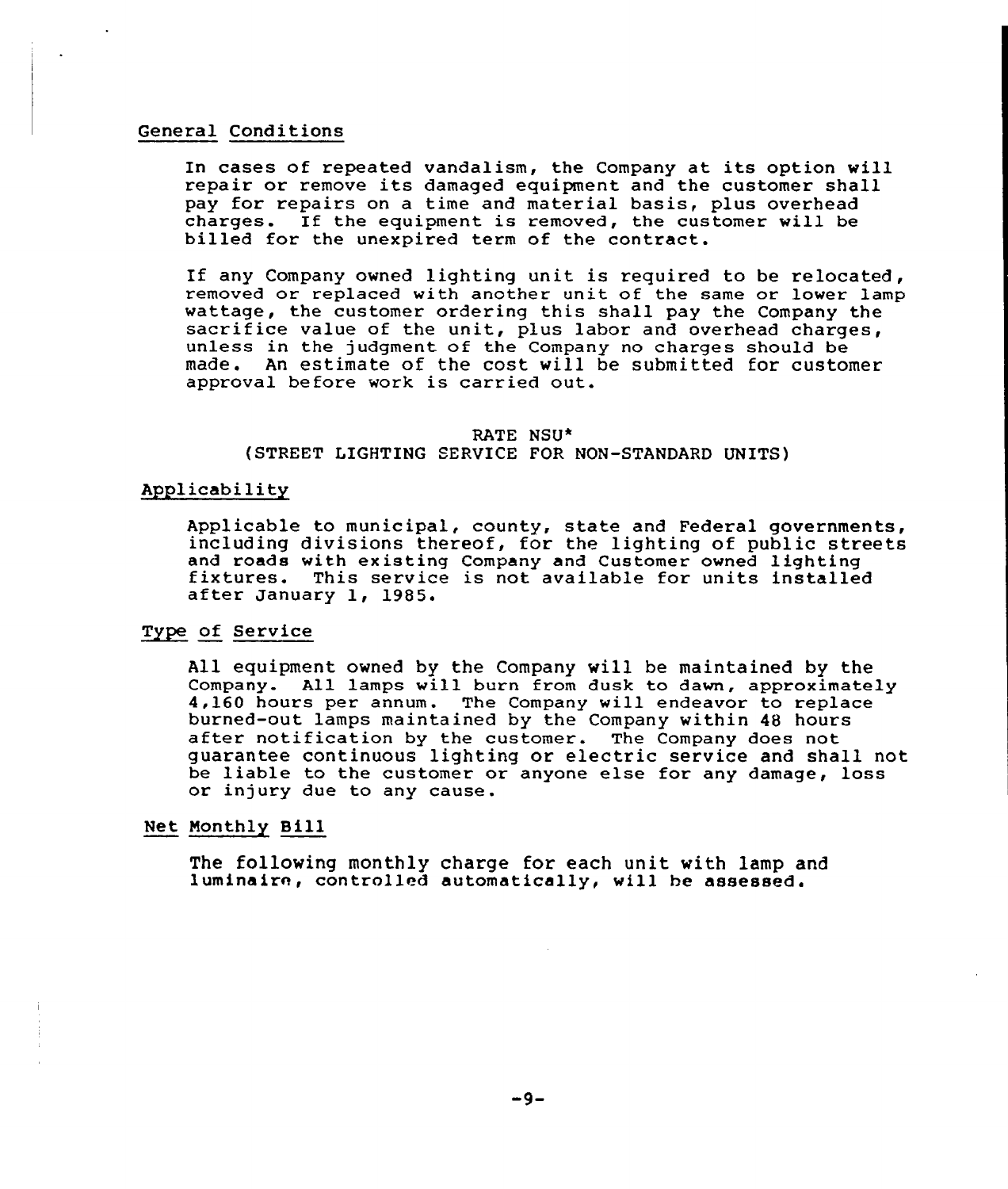#### General Conditions

In cases of repeated vandalism, the Company at its option will repair or remove its damaged equipment and the customer shall pay for repairs on a time and material basis, plus overhead charges. If the equipment is removed, the customer will be billed for the unexpired term of the contract.

If any Company owned lighting unit is required to be relocated, removed or replaced with another unit of the same or lower lamp wattage, the customer ordering this shall pay the Company the sacrifice value of the unit, plus labor and overhead charges, unless in the judgment of the Company no charges should be made. An estimate of the cost vill be submitted for customer approval before work is carried out.

# RATE NSU\*

# (STREET LIGHTING SERVICE FOR NON-STANDARD UNITS)

# Applicability

Applicable to municipal, county, state and Federal governments, including divisions thereof, for the lighting of public streets<br>and roads with existing Company and Customer owned lighting fixtures. This service is not available for units installed<br>after January 1, 1985.

# Type of Service

All equipment owned by the Company vill be maintained by the Company. All lamps will burn from dusk to dawn, approximately 4,160 hours per annum. The Company will endeavor to replace<br>burned-out lamps maintained by the Company within 48 hours after notification by the customer. The Company does not guarantee continuous lighting or electric service and shall not be liable to the customer or anyone else for any damage, loss or injury due to any cause.

# Net Monthly Bill

The following monthly charge for each unit with lamp and luminaire, controlled automatically, will be assessed.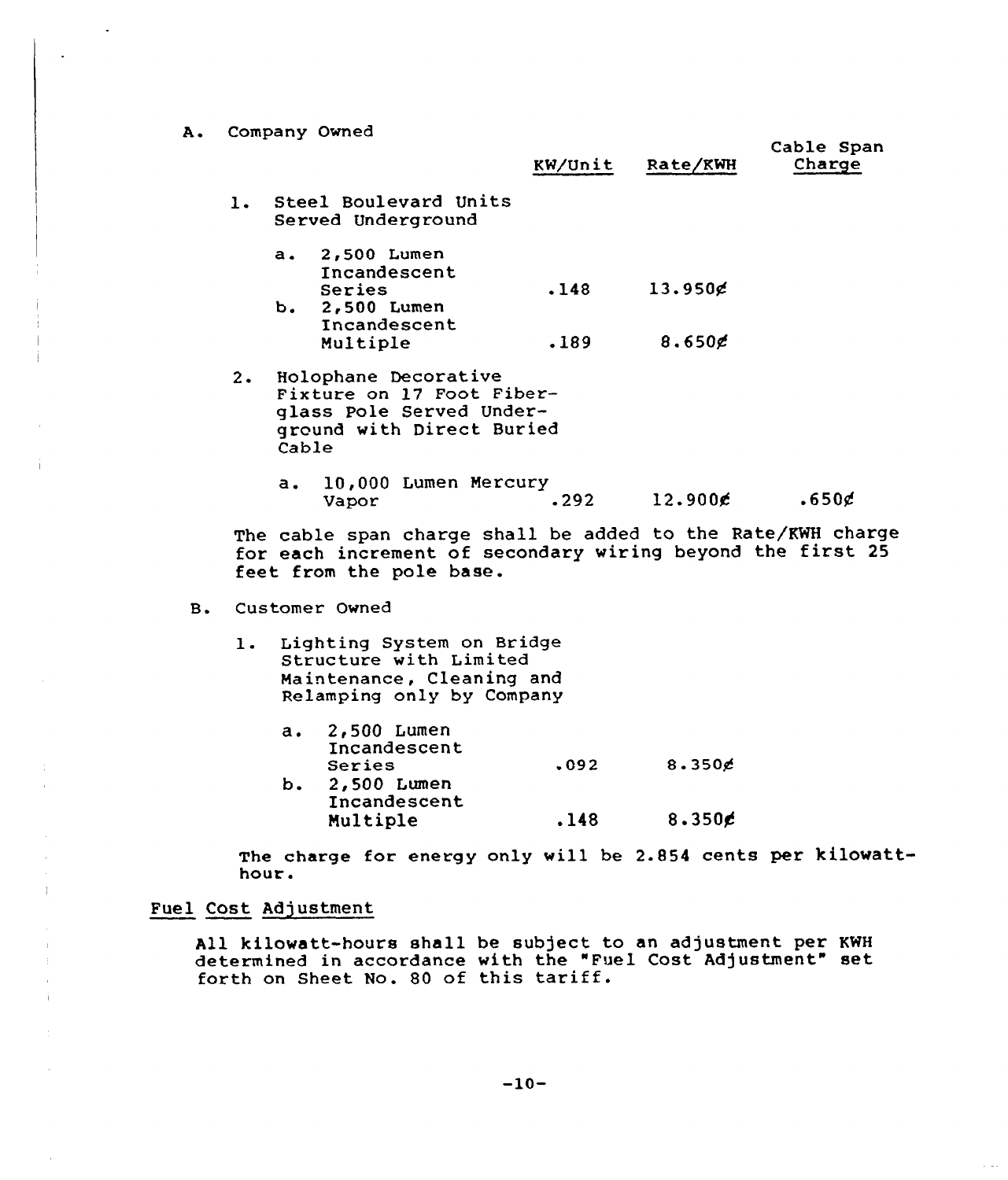A. Company Owned

|           |       |                                                                                                            | KW/Unit | <b>Rate/KWH</b>  | Cable Span<br>Charge |
|-----------|-------|------------------------------------------------------------------------------------------------------------|---------|------------------|----------------------|
| 1.        |       | Steel Boulevard Units<br>Served Underground                                                                |         |                  |                      |
|           |       | a. 2,500 Lumen<br>Incandescent                                                                             |         |                  |                      |
|           |       | Series<br>b. 2,500 Lumen<br>Incandescent                                                                   | .148    | $13.950$ ¢       |                      |
|           |       | Multiple                                                                                                   | .189    | 8.650            |                      |
| $2 \cdot$ | Cable | Holophane Decorative<br>Fixture on 17 Foot Fiber-<br>glass Pole Served Under-<br>ground with Direct Buried |         |                  |                      |
|           | a.    | 10,000 Lumen Mercury<br>Vapor                                                                              | .292    | $12.900\epsilon$ | .650g                |

The cable span charge shall be added to the Rate/KWH charge for each increment of secondary wiring beyond the first <sup>25</sup> feet from the pole base.

B. Customer Owned

- 1. Lighting System on Bridge Structure with Limited Maintenance, Cleaning and Relamping only by Company
	- 2,500 Lumen  $a.$ Incandescent Series  $.092$  8.350 $\neq$ b. 2,500 Lumen Incandescent  $.148$  8.350 $\epsilon$ Multiple

The charge for energy only will be 2.854 cents per kilowatthour.

# Fuel Cost Adjustment

 $\pm$ 

 $\ddot{1}$ 

All kilowatt-hours shall be subject to an adjustment per KWH determined in accordance with the "Fuel Cost Adjustment" set forth on Sheet No. <sup>80</sup> of this tariff.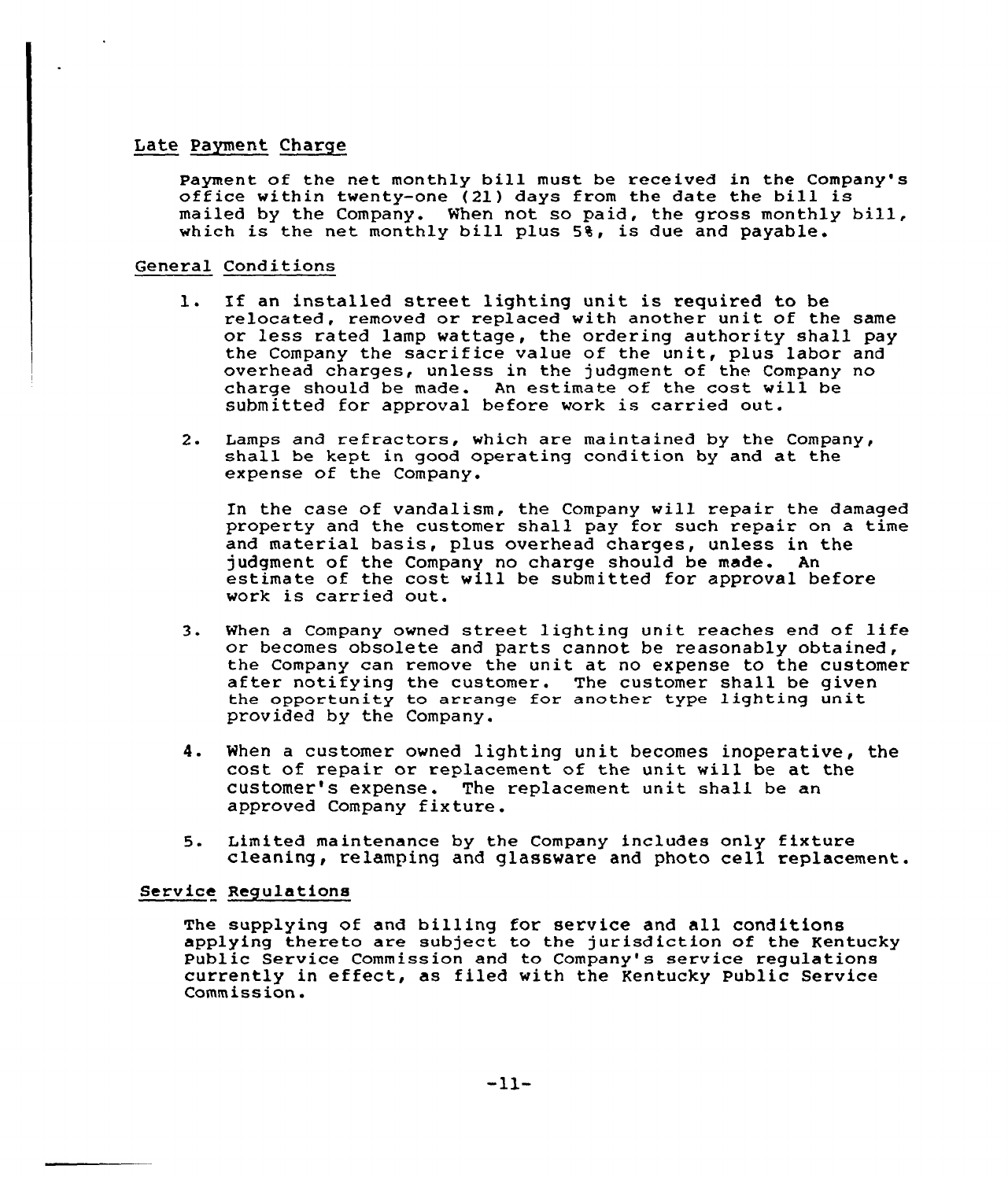# Late Payment Charge

Payment of the net monthly bill must be received in the Company's office within twenty-one (21) days from the date the bill is mailed by the Company. When not so paid, the gross monthly bill, which is the net monthly bill plus 5%, is due and payable.

# General Conditions

- l. If an installed street lighting unit is required to be relocated, removed or replaced with another unit of the same or less rated lamp wattage, the ordering authority shall pay the Company the sacrifice value of the unit, plus labor and overhead charges, unless in the judgment of the Company no charge should be made. An estimate of the cost vill be submitted for approval before work is carried out.
- 2. Lamps and refractors, which are maintained by the Company, shall be kept in good operating condition by and at the expense of the Company.

In the case of vandalism, the Company will repair the damaged property and the customer shall pay for such repair on a time and material basis, plus overhead charges, unless in the judgment of the Company no charge should be made. estimate of the cost will be submitted for approval before work is carried out.

- 3. When <sup>a</sup> Company owned street lighting unit reaches end of life or becomes obsolete and parts cannot be reasonably obtained,<br>the Company can remove the unit at no expense to the customer the Company can remove the unit at no expense to the customer after notifying the customer. The customer shall be given the opportunity to arrange for another type lighting unit provided by the Company.
- 4. When <sup>a</sup> customer owned lighting unit becomes inoperative, the cost of repair or replacement of the unit will be at the customer's expense. The replacement unit shall be an approved Company fixture.
- 5. Limited maintenance by the Company includes only fixture cleaning, relamping and glassware and photo cell replacement.

# Service Regulations

The supplying of and billing for service and all conditions applying thereto are subject to the jurisdiction of the Kentucky Public Service Commission and to Company's service regulations currently in effect, as filed with the Kentucky Public Service Commission.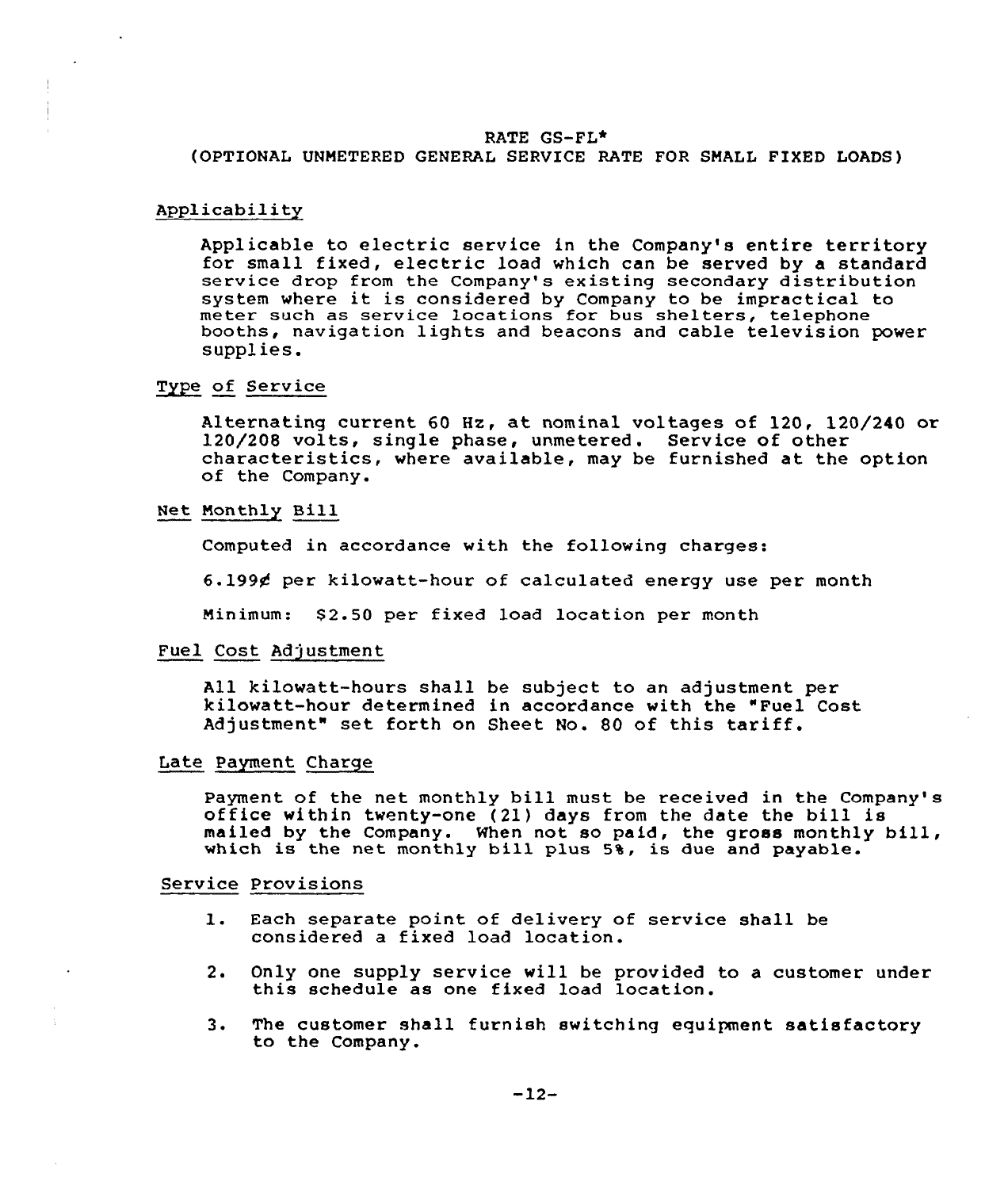# RATE GS-FL\*

(OPTIONAL UNMETERED GENERAL SERVICE RATE FOR SMALL FIXED LOADS)

#### Applicability

Applicable to electric service in the Company's entire territory for small fixed, electric load which can be served by a standard service drop from the Company's existing secondary distribution system where it is considered by Company to be impractical to meter such as service locations for bus shelters, telephone booths, navigation lights and beacons and cable television power supplies.

#### Type of Service

Alternating current 60 Hz, at nominal voltages of 120, 120/240 or 120/200 volts, single phase, unmetered. Service of other characteristics, where available, may be furnished at the option<br>of the Company.

#### Net Monthly Bill

Computed in accoxdance with the following chaxges:

6.1994 pex kilowatt-houx of calculated enexgy use pex month

Minimum: \$2.50 per fixed load location per month

#### Fuel Cost Adjustment

All kilowatt-hours shall be subject to an adjustment per kilowatt-hour determined in accordance with the "Fuel Cost Adjustment" set forth on Sheet No. <sup>80</sup> of this tariff.

# Late Payment Charge

Payment of the net monthly bill must be received in the Company's office within twenty-one (21) days from the date the bill is mailed by the Company. When not so paid, the gross monthly bill, which is the net monthly bill plus 5%, is due and payable.

#### Service Provisions

- l. Each separate point of delivery of service shall be considered a fixed load location.
- 2. Only one supply service will be provided to a customer under<br>this schedule as one fixed load location.
- 3. The customer shall furnish switching equipment satisfactory to the Company.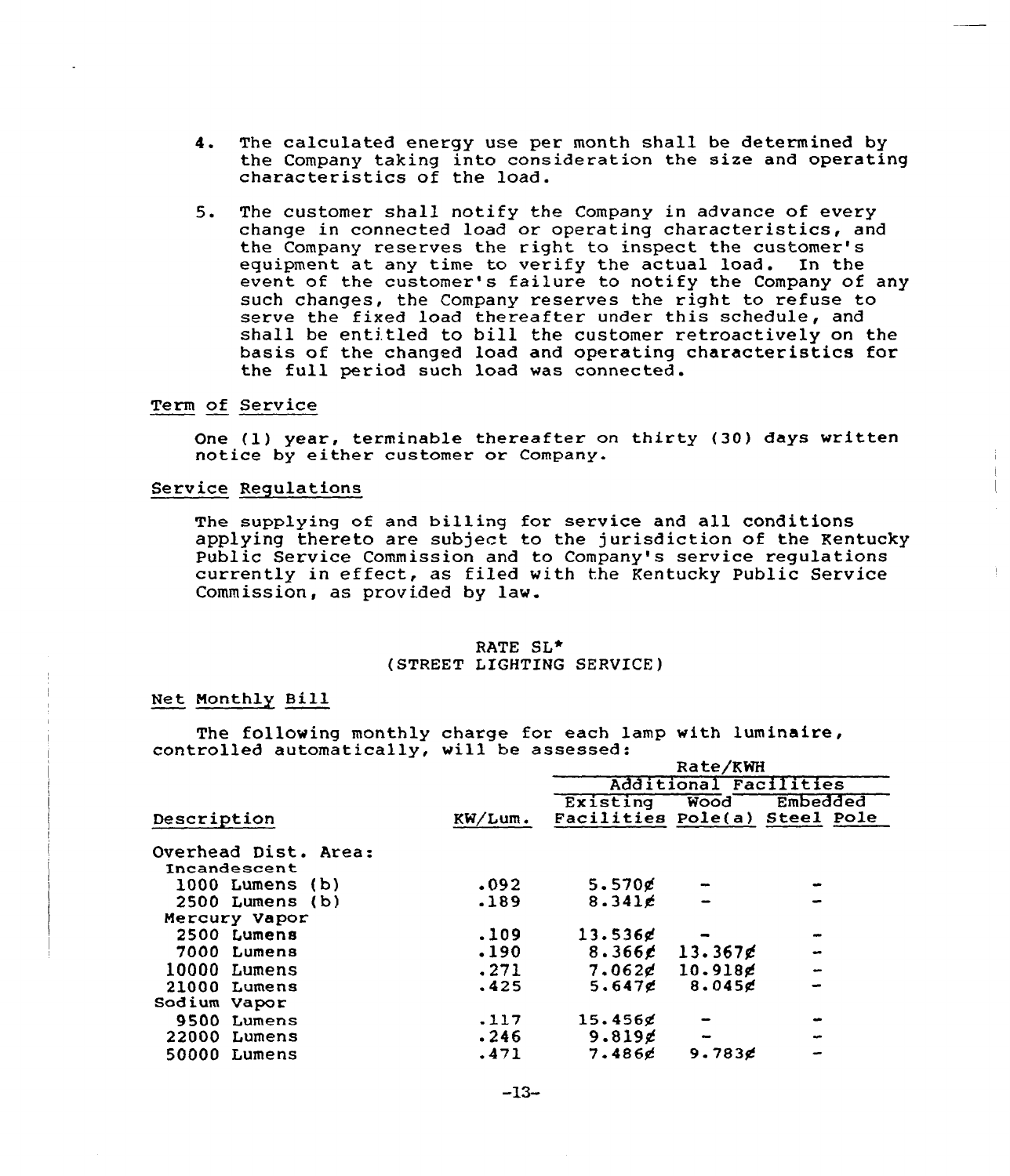- 4. The calculated energy use per month shall be determined by the Company taking into consideration the size and operating<br>characteristics of the load.
- 5. The customer shall notify the Company in advance of every change in connected load or operating characteristics, and the Company reserves the right to inspect the customer' equipment at any time to verify the actual load. In the event of the customer's failure to notify the Company of any such changes, the Company reserves the right to refuse to serve the fixed load thereafter under this schedule, and shall be entitled to bill the customer retroactively on the basis of the changed load and operating characteristics for the full period such load vas connected.

# Term of Service

One (1) year, terminable thereafter on thirty (30) days written notice by either customer or Company.

### Service Regulations

The supplying of and billing for service and all conditions applying thereto are subject to the jurisdiction of the Kentucky Public Service Commission and to Company's service regulations currently in effect, as filed with the Kentucky Public Service Commission, as provided by law.

### RATE SL<sup>\*</sup> (STREET LIGHTING SERVICE)

#### Net Monthly Bill

The following monthly charge for each lamp with luminaire, controlled automatically, vill be assessed: Rate/KWH

|                      |         |                    | Rate/KWH              |                               |
|----------------------|---------|--------------------|-----------------------|-------------------------------|
|                      |         |                    | Additional Facilities |                               |
|                      |         | Existing           | Wood                  | Embedded                      |
| Description          | KW/Lum. |                    |                       | Facilities Pole(a) Steel Pole |
| Overhead Dist. Area: |         |                    |                       |                               |
| Incandescent         |         |                    |                       |                               |
| $1000$ Lumens $(b)$  | .092    | $5.570$ g          |                       |                               |
| $2500$ Lumens $(b)$  | .189    | 8.341c             |                       |                               |
| Mercury Vapor        |         |                    |                       |                               |
| 2500 Lumens          | .109    | 13.536g            |                       |                               |
| 7000<br>Lumens       | .190    | 8.366 $\epsilon$   | 13.367g               | $\bullet$                     |
| 10000 Lumens         | .271    | 7.062 <sub>d</sub> | $10.918$ g            | $\rightarrow$                 |
| 21000 Lumens         | .425    | 5.647 <sub>0</sub> | 8.045c                |                               |
| Sodium Vapor         |         |                    |                       |                               |
| 9500<br>Lumens       | $-117$  | $15.456$ c         |                       |                               |
| 22000<br>Lumens      | .246    | 9.819 $\epsilon$   |                       |                               |
| 50000<br>Lumens      | .471    | 7.486c             | 9.783 $E$             |                               |
|                      |         |                    |                       |                               |

 $-13-$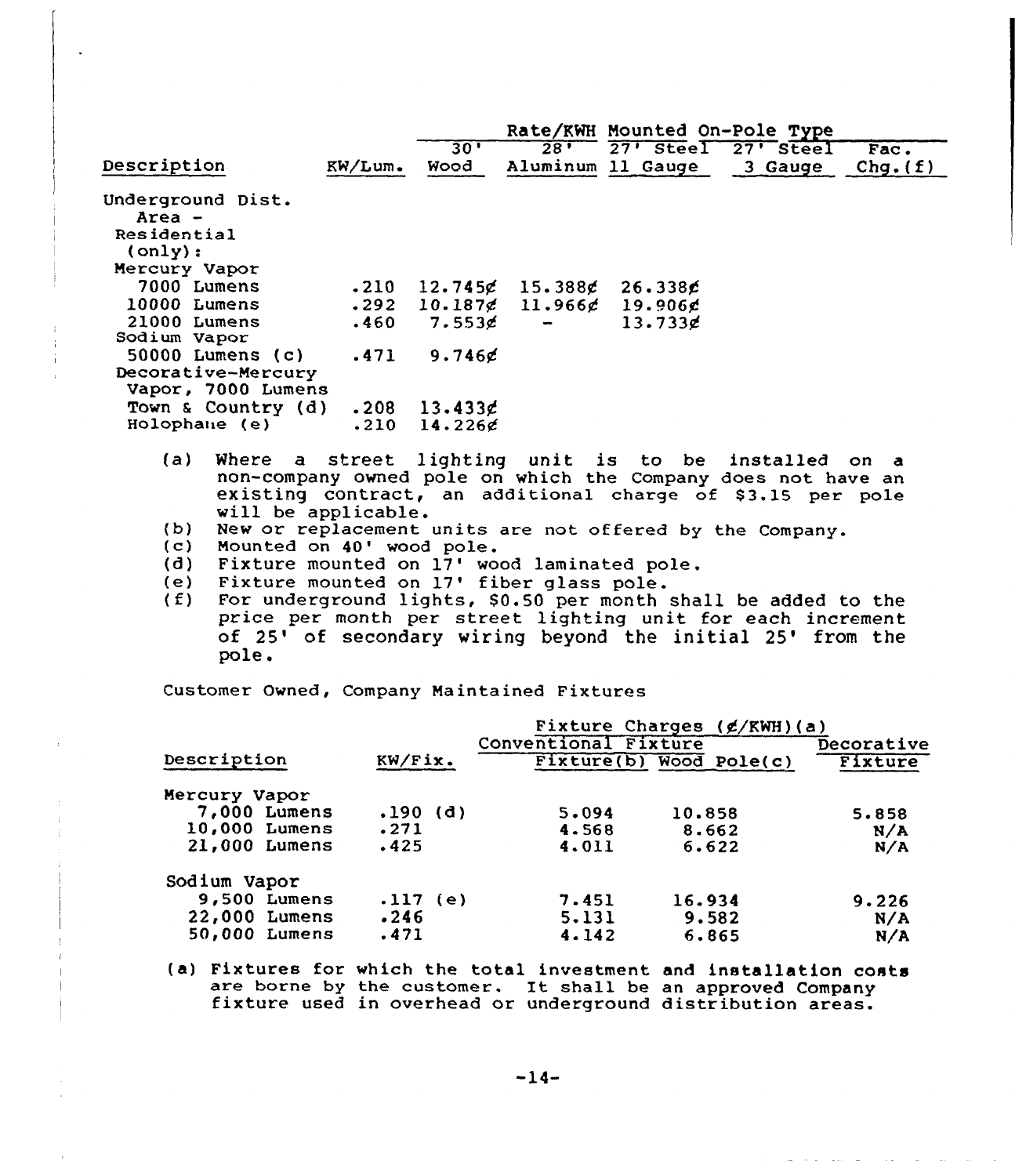|                    |            |                      |                            |                   | Rate/KWH Mounted On-Pole Type |          |
|--------------------|------------|----------------------|----------------------------|-------------------|-------------------------------|----------|
|                    |            | 30'                  | $28 -$                     |                   | 27' Steel 27' Steel           | Fac.     |
| Description        | $KN/Lum$ . | Wood                 |                            | Aluminum 11 Gauge | 3 Gauge                       | Chg. (f) |
| Underground Dist.  |            |                      |                            |                   |                               |          |
| Area -             |            |                      |                            |                   |                               |          |
| Residential        |            |                      |                            |                   |                               |          |
| (only):            |            |                      |                            |                   |                               |          |
| Mercury Vapor      |            |                      |                            |                   |                               |          |
| 7000 Lumens        | .210       | 12.745g              | $15.388$ g                 | 26.3386           |                               |          |
| 10000 Lumens       | .292       |                      | $10.187\ell$ 11.966 $\ell$ | 19.906g           |                               |          |
| 21000 Lumens       | .460       | $7.553$ g            |                            | 13.733g           |                               |          |
| Sodium Vapor       |            |                      |                            |                   |                               |          |
| 50000 Lumens (c)   | .471       | $9.746$ g            |                            |                   |                               |          |
| Decorative-Mercury |            |                      |                            |                   |                               |          |
| Vapor, 7000 Lumens |            |                      |                            |                   |                               |          |
| Town & Country (d) | .208       | 13.433c              |                            |                   |                               |          |
| Holophane (e)      | .210       | 14.2266              |                            |                   |                               |          |
| (a)<br>Where<br>a  |            | street lighting unit |                            | is<br>to          | be installed                  | on.<br>a |

- non-company owned pole on which the Company does not have an existing contract, an additional charge of 53.15 per pole will be applicable. will be applicable.<br>(b) New or replacement units are not offered by the Company.<br>(c) Mounted on 40' wood pole.<br>(d) Fixture mounted on 17' wood laminated pole.
- 
- 
- (d) Fixture mounted on  $17'$  wood laminated pole.<br>(e) Fixture mounted on  $17'$  fiber glass pole.
- 
- (e) Fixture mounted on 17' wood laminated pole.<br>
(e) Fixture mounted on 17' fiber glass pole.<br>
(f) For underground lights, 80.50 per month shall be added to the price per month per street lighting unit for each increment price per month per street lighting unit for each increment<br>of 25' of secondary wiring beyond the initial 25' from the of 25' of secondary wiring beyond the initial 25' from the pole.

Customer Owned, Company Maintained Fixtures

|               |                | Fixture Charges (¢/KWH)(a) |                      |                         |            |  |
|---------------|----------------|----------------------------|----------------------|-------------------------|------------|--|
|               |                |                            | Conventional Fixture |                         | Decorative |  |
| Description   |                | KW/Fix.                    |                      | Fixture(b) Wood Pole(c) | Fixture    |  |
| Mercury Vapor |                |                            |                      |                         |            |  |
| 7,000 Lumens  |                | $.190$ (d)                 | 5.094                | 10.858                  | 5.858      |  |
| 10,000 Lumens |                | .271                       | 4.568                | 8.662                   | N/A        |  |
| 21,000 Lumens |                | .425                       | 4.011                | 6.622                   | N/A        |  |
| Sodium Vapor  |                |                            |                      |                         |            |  |
|               | $9,500$ Lumens | $.117$ (e)                 | 7.451                | 16.934                  | 9.226      |  |
| 22,000 Lumens |                | .246                       | 5.131                | 9.582                   | N/A        |  |
| 50,000 Lumens |                | .471                       | 4.142                | 6.865                   | N/A        |  |

(a) Fixtures for which the total investment and installation costs are borne by the customer. It shall be an approved Company fixture used in overhead or underground distribution areas.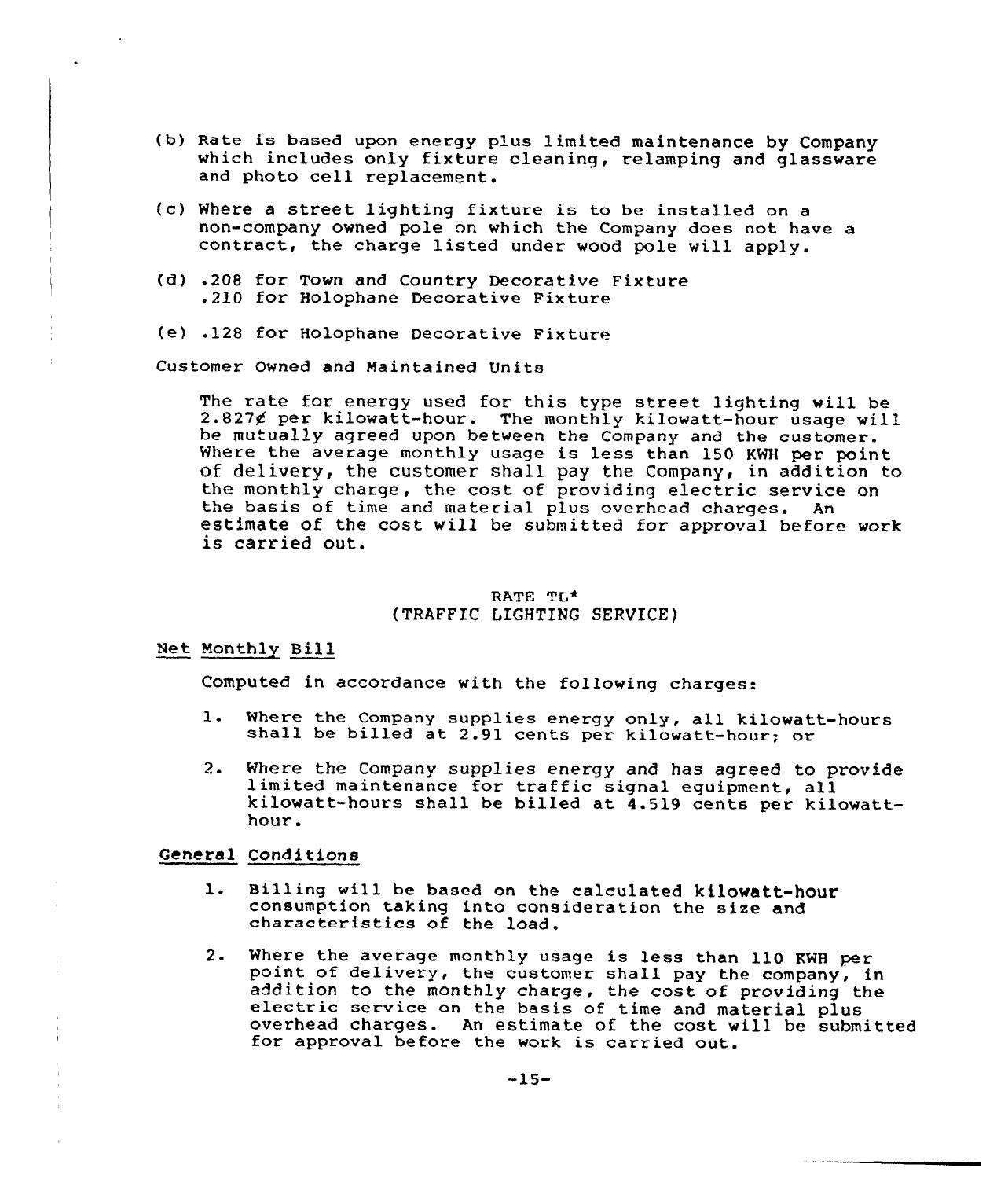- (b) Rate is based upon energy plus limited maintenance by Company which includes only fixture cleaning, relamping and glassware and photo cell replacement.
- (c) Where a street lighting fixture is to he installed on a non-company owned pole on which the Company does not have a contract, the charge listed under wood pole will apply.
- (d) .208 for Town and Country Decorative Fixture .210 for Holophane Decorative Fixture
- (e) .128 for Holophane Decorative Fixture

Customer Owned and Maintained Units

The rate for energy used for this type street lighting will be<br>2.827¢ per kilowatt-hour. The monthly kilowatt-hour usage will be mutually agreed upon between the Company and the customer.<br>Where the average monthly usage is less than 150 KWH per point of delivery, the customer shall pay the Company, in addition to the monthly charge, the cost of providing electric service on the basis of time and material plus overhead charges. An estimate of the cost will be submitted for approval before work<br>is carried out.

# RATE TL\* (TRAFFIC LIGHTING SERVICE)

#### Net Monthly Bill

Computed in accordance with the following charges:

- $1.$ Where the Company supplies energy only, all kilowatt-hours shall be billed at 2.91 cents per kilowatt-hour; or
- Where the Company supplies energy and has agreed to provide limited maintenance for traffic signal equipment, all  $2.$ kilowatt-hours shall be billed at  $4.519$  cents per kilowatthour.

# General Conditions

- $1.$ Billing will be based on the calculated kilowatt-hour consumption taking into consideration the size and characteristics of the load.
- 2. Where the average monthly usage is less than 110 KWH per<br>point of delivery, the customer shall pay the company, in<br>addition to the monthly charge, the cost of providing the<br>electric service on the basis of time and mate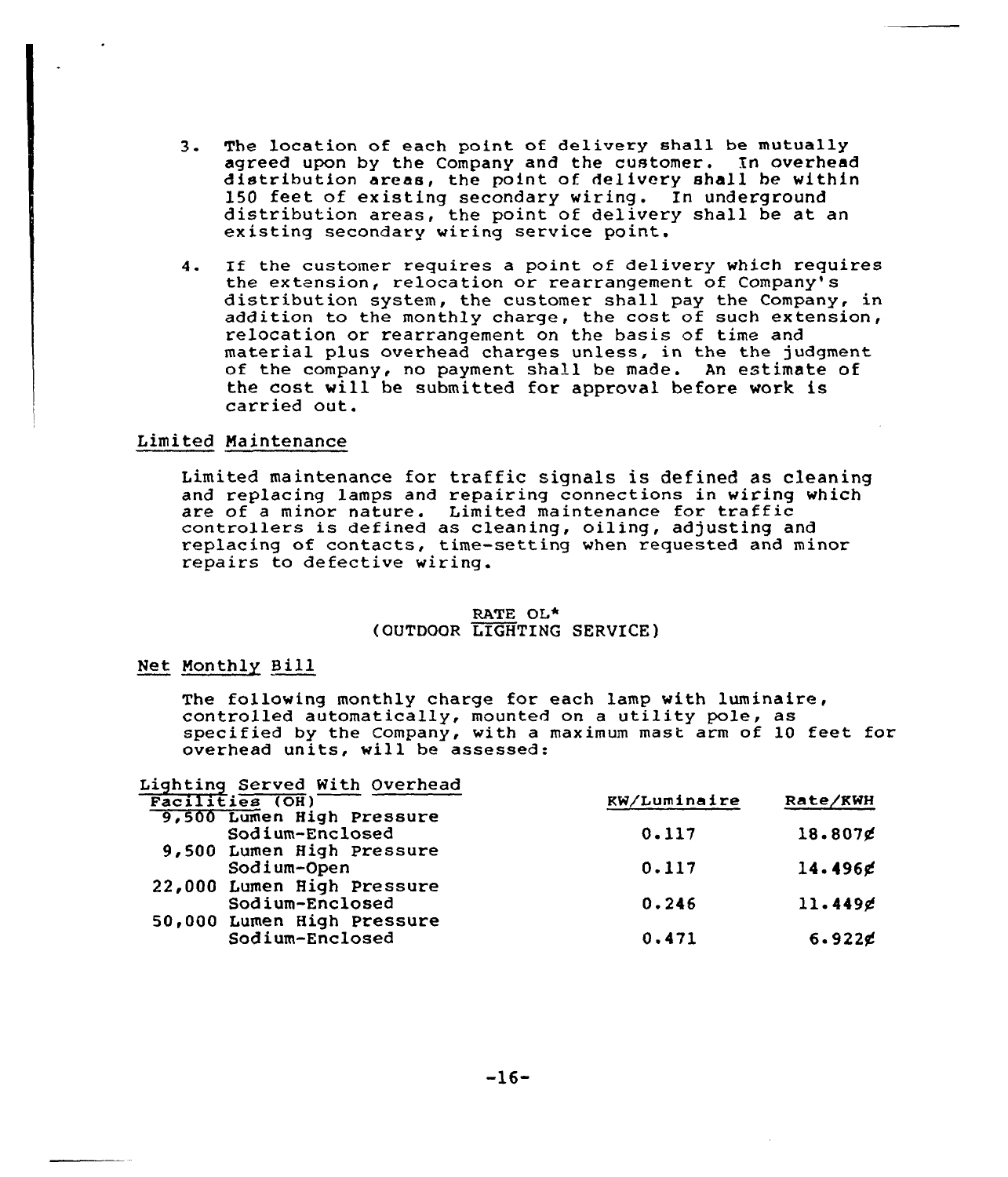- 3. The location of each point of delivery shall be mutually agreed upon by the Company and the customer. In overhead distribution areas, the point of delivery shall be within 150 feet of existing secondary wiring. In underground distribution areas, the point of delivery shall be at an existing secondary wiring service point.
- 4. If the customer requires a point of delivery which requires the extension, relocation or rearrangement of Company's distribution system, the customer shall pay the Company, in addition to the monthly charge, the cost of such extension, relocation or rearrangement on the basis of time and material plus overhead charges unless, in the the judgment. of the company, no payment shall be made. An estimate of the cost will be submitted for approval before work is carried out.

# Limited Maintenance

Limited maintenance for traffic signals is defined as cleaning and replacing lamps and repairing connections in wiring which are of <sup>a</sup> minor nature. Limited maintenance for traffic controllers is defined as cleaning, oiling, adjusting and replacing of contacts, time-setting when requested and minor repairs to defective wiring.

### RATE OL\* (OUTDOOR LIGHTING SERVICE )

# Net Monthly Bill

The following monthly charge for each lamp with luminaire, controlled automatically, mounted on a utility pole, as specified by the Company, with a maximum mast arm of 10 feet for overhead units, will be assessed:

| Lighting Served With Overhead |              |            |
|-------------------------------|--------------|------------|
| Facilities (OH)               | KW/Luminaire | Rate/KWH   |
| 9,500 Lumen High Pressure     |              |            |
| Sodium-Enclosed               | 0.117        | 18.807g    |
| 9,500 Lumen High Pressure     |              |            |
| Sodium-Open                   | 0.117        | $14.496$ g |
| 22,000 Lumen High Pressure    |              |            |
| Sodium-Enclosed               | 0.246        | 11.449g    |
| 50,000 Lumen High Pressure    |              |            |
| Sodium-Enclosed               | 0.471        | $6.922$ g  |
|                               |              |            |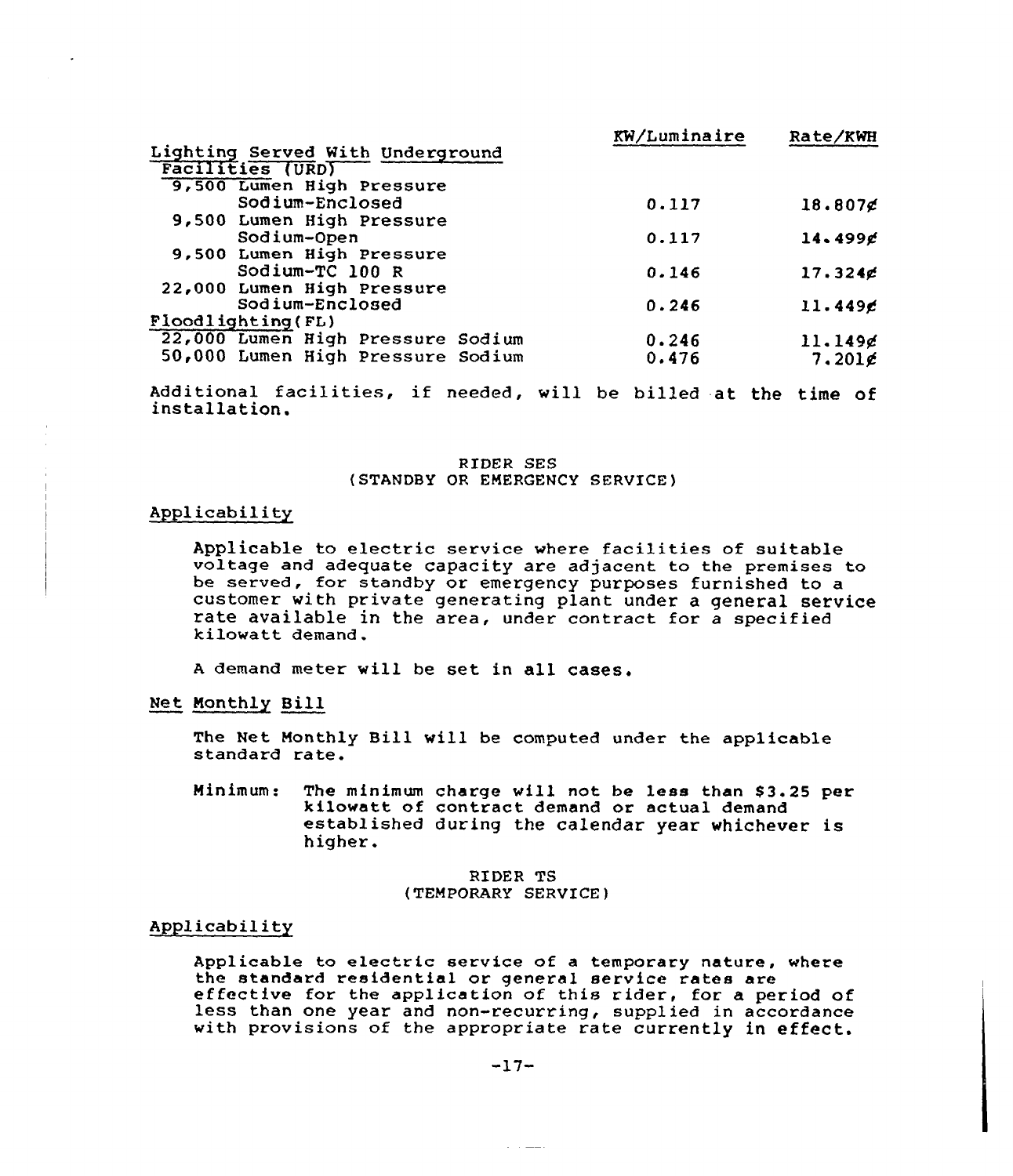|                                   | KW/Luminaire | Rate/KWH   |
|-----------------------------------|--------------|------------|
| Lighting Served With Underground  |              |            |
| <b>Facilities (URD)</b>           |              |            |
| 9,500 Lumen High Pressure         |              |            |
| Sodium-Enclosed                   | 0.117        | $18.807$ g |
| 9,500 Lumen High Pressure         |              |            |
| Sodium-Open                       | 0.117        | 14.499g    |
| 9,500 Lumen High Pressure         |              |            |
| Sodium-TC 100 R                   | 0.146        | $17.324$ g |
| 22,000 Lumen High Pressure        |              |            |
| Sodium-Enclosed                   | 0.246        | 11.449c    |
| Floodlighting (FL)                |              |            |
| 22,000 Lumen High Pressure Sodium | 0.246        | 11.149g    |
| 50,000 Lumen High Pressure Sodium | 0.476        | $7.201$ g  |

Additional facilities, if needed, will be billed at the time of installation.

RIDER SES (STANDBY OR EMERGENCY SERVICE)

# Applicability

Applicable to electric service where facilities of suitable voltage and adequate capacity are adjacent to the premises to be served, for standby or emergency purposes furnished to a customer with private generating plant under a general service rate available in the area, under contract for a specified<br>kilowatt demand.

<sup>A</sup> demand meter will be set in all cases.

Net Monthly Bill

The Net Monthly Bill will be computed under the applicable standard rate.

Minimum: The minimum charge will not be less than \$ 3.25 per<br>kilowatt of contract demand or actual demand<br>established during the calendar year whichever is higher.

> RIDER TS (TEMPORARY SERVICE)

# Applicability

Applicable to electric service of a temporary nature, where the standard residential or general service rates are the standard residential or general service rates are effective for the application of this rider, for a period of less than one year and non-recurring, supplied in accordance ress than one year and non-recurring, suppried in accordance<br>with provisions of the appropriate rate currently in effect.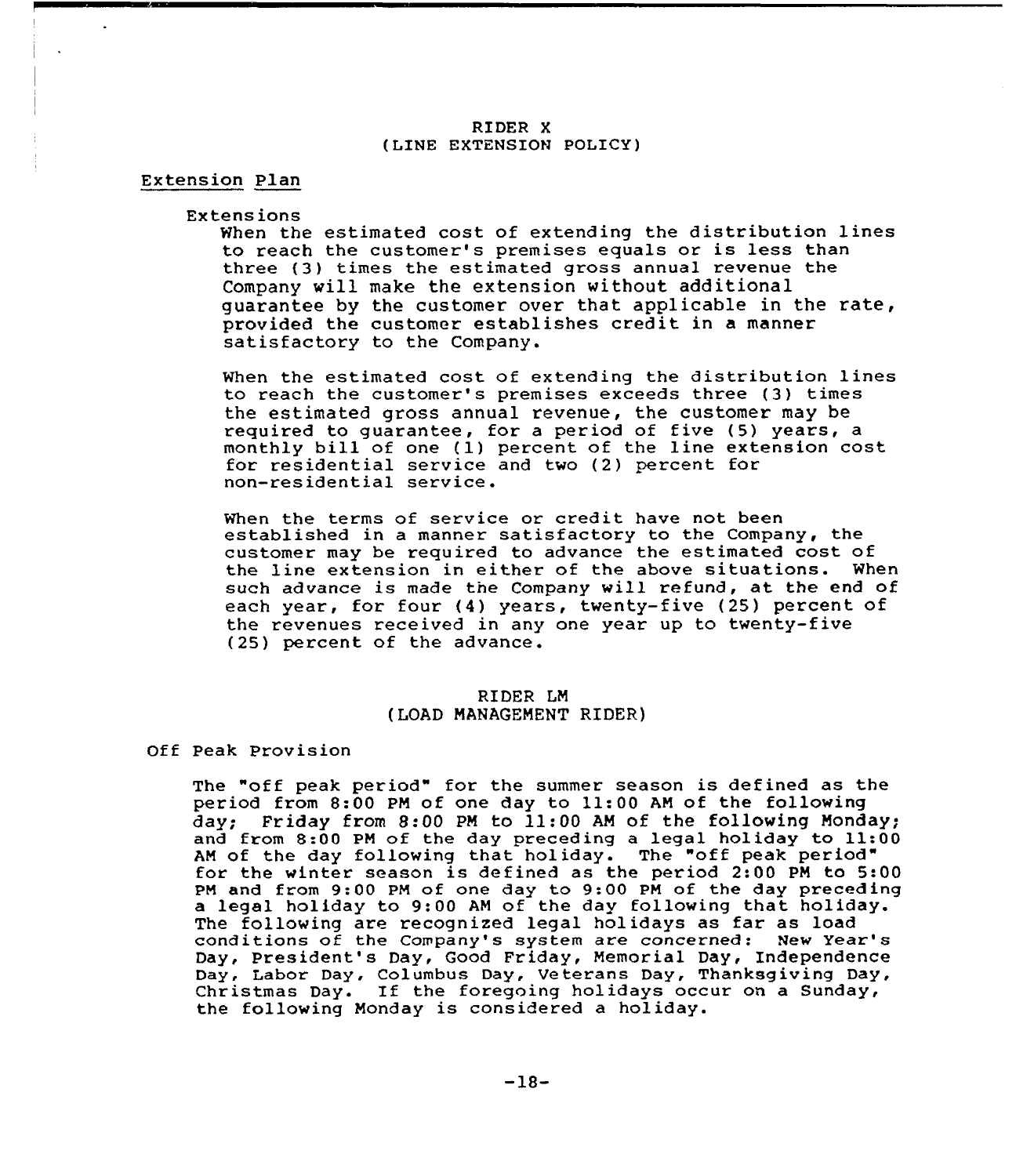### RIDER X (LINE EXTENSION POLICY)

# Extension Plan

#### Extensions

When the estimated cost of extending the distribution lines to reach the customer's premises equals or is less than three (3) times the estimated gross annual revenue the Company vill make the extension without additional guarantee by the customer over that applicable in the rate, provided the customer establishes credit in a manner satisfactory to the Company.

When the estimated cost of extending the distribution lines to reach the customer's premises exceeds three (3) times the estimated gross annual revenue, the customer may be required to guarantee, for a period of five (5) years, a monthly bill of one (1) percent of the line extension cost for residential service and two (2) percent for non-residential service.

When the terms of service or credit have not been established in a manner satisfactory to the Company, the customer may be required to advance the estimated cost of the line extension in either of the above situations. When such advance is made the Company will refund, at the end of each year, for four (4) years, twenty-five (25) percent of the revenues received in any one year up to twenty-five (25) percent of the advance.

# RIDER LM ( LOAD MANAGEMENT RIDER)

#### Off Peak Provision

The "off peak period" for the summer season is defined as the period from 8:00 PM of one day to ll:00 AM of the following day; Friday from 8:00 PN to 11:00 AN of the following Monday; and from 8:00 PM of the day preceding <sup>a</sup> legal holiday to ll:00 AM of the day following that holiday. The "off peak period" for the winter season is defined as the period 2:00 PN to 5:00 PM and from 9:00 PM of one day to 9:00 PM of the day preceding a legal holiday to 9:00 AM of the day following that holiday. The following are recognized legal holidays as far as load conditions of the Company's system are concerned: New Year' Day, President's Day, Good Friday, Memorial Day, Independence Day, Labor Day, Columbus Day, Veterans Day, Thanksgiving Day, Christmas Day. If the foregoing holidays occur on <sup>a</sup> Sunday, the following Monday is considered a holiday.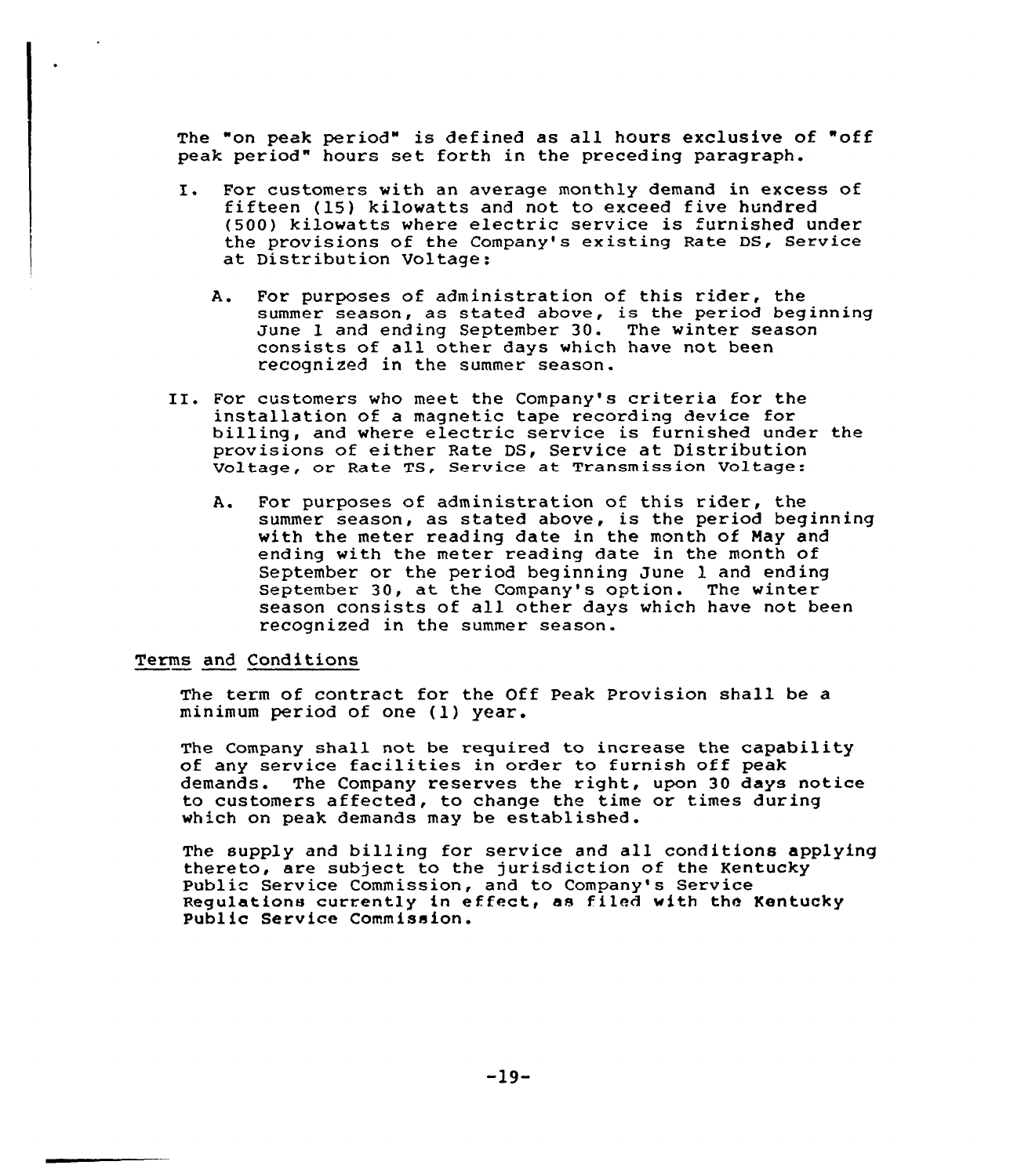The "on peak period" is def ined as all hours exclusive of "off peak period" hours set forth in the preceding paragraph.

- I. For customers with an average monthly demand in excess of fifteen (15) kilowatts and not to exceed five hundred (500) kilowatts where electric service is furnished under the provisions of the Company's existing Rate DS, Service at Distribution Voltage:
	- A. For purposes of administration of this rider, the summer season, as stated above, is the period beginning June l and ending September 30. The winter season consists of all other days which have not been recognized in the summer season.
- II. For customers who meet the Company's criteria for the installation of a magnetic tape recording device for billing, and where electric service is furnished under the provisions of either Rate DS, Service at Distribution Voltage, or Rate TS, Service at Transmission Voltage:
	- A. For purposes of administration of this rider, the summer seascn, as stated above, is the period beginning with the meter reading date in the month of May and ending with the meter reading date in the month of September or the period beginning June 1 and ending September 30, at the Company's option. The winter season consists of all other days which have not been recognized in the summer season.

# Terms and Conditions

The term of contract for the Off Peak Provision shall be a minimum period of one (1) year.

The Company shall not be required to increase the capability of any service facilities in order to furnish off peak demands. The Company reserves the right, upon 30 days notice to customers affected, to change the time or times during which on peak demands may be established.

The supply and billing for service and all conditions applying thereto, are subject to the jurisdiction of the Kentucky Public Service Commission, and to Company's Service Regulations currently in effeet, as fi led with the Kentucky Publ ic Service Commission.